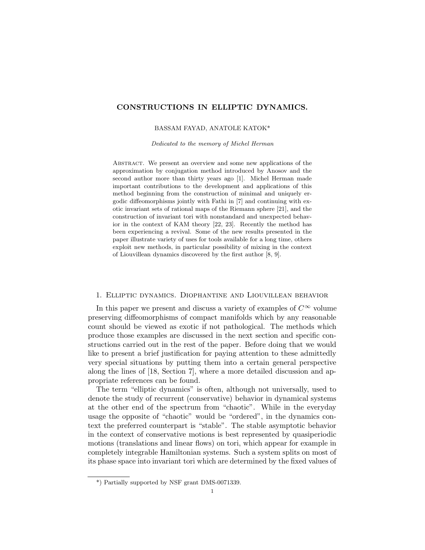## CONSTRUCTIONS IN ELLIPTIC DYNAMICS.

#### BASSAM FAYAD, ANATOLE KATOK\*

Dedicated to the memory of Michel Herman

Abstract. We present an overview and some new applications of the approximation by conjugation method introduced by Anosov and the second author more than thirty years ago [1]. Michel Herman made important contributions to the development and applications of this method beginning from the construction of minimal and uniquely ergodic diffeomorphisms jointly with Fathi in [7] and continuing with exotic invariant sets of rational maps of the Riemann sphere [21], and the construction of invariant tori with nonstandard and unexpected behavior in the context of KAM theory [22, 23]. Recently the method has been experiencing a revival. Some of the new results presented in the paper illustrate variety of uses for tools available for a long time, others exploit new methods, in particular possibility of mixing in the context of Liouvillean dynamics discovered by the first author [8, 9].

#### 1. Elliptic dynamics. Diophantine and Liouvillean behavior

In this paper we present and discuss a variety of examples of  $C^{\infty}$  volume preserving diffeomorphisms of compact manifolds which by any reasonable count should be viewed as exotic if not pathological. The methods which produce those examples are discussed in the next section and specific constructions carried out in the rest of the paper. Before doing that we would like to present a brief justification for paying attention to these admittedly very special situations by putting them into a certain general perspective along the lines of [18, Section 7], where a more detailed discussion and appropriate references can be found.

The term "elliptic dynamics" is often, although not universally, used to denote the study of recurrent (conservative) behavior in dynamical systems at the other end of the spectrum from "chaotic". While in the everyday usage the opposite of "chaotic" would be "ordered", in the dynamics context the preferred counterpart is "stable". The stable asymptotic behavior in the context of conservative motions is best represented by quasiperiodic motions (translations and linear flows) on tori, which appear for example in completely integrable Hamiltonian systems. Such a system splits on most of its phase space into invariant tori which are determined by the fixed values of

<sup>\*)</sup> Partially supported by NSF grant DMS-0071339.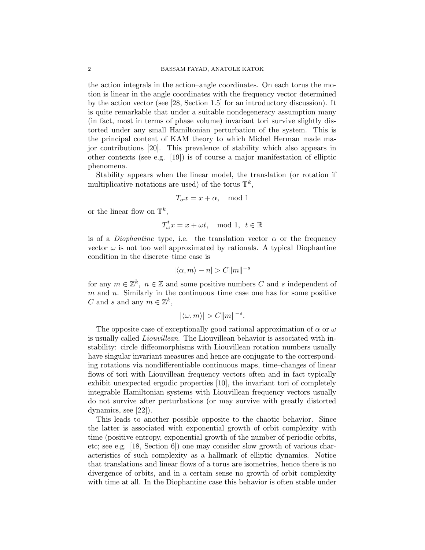the action integrals in the action–angle coordinates. On each torus the motion is linear in the angle coordinates with the frequency vector determined by the action vector (see [28, Section 1.5] for an introductory discussion). It is quite remarkable that under a suitable nondegeneracy assumption many (in fact, most in terms of phase volume) invariant tori survive slightly distorted under any small Hamiltonian perturbation of the system. This is the principal content of KAM theory to which Michel Herman made major contributions [20]. This prevalence of stability which also appears in other contexts (see e.g. [19]) is of course a major manifestation of elliptic phenomena.

Stability appears when the linear model, the translation (or rotation if multiplicative notations are used) of the torus  $\mathbb{T}^k$ ,

$$
T_{\alpha}x = x + \alpha, \mod 1
$$

or the linear flow on  $\mathbb{T}^k$ ,

$$
T_{\omega}^t x = x + \omega t, \mod 1, \ t \in \mathbb{R}
$$

is of a *Diophantine* type, i.e. the translation vector  $\alpha$  or the frequency vector  $\omega$  is not too well approximated by rationals. A typical Diophantine condition in the discrete–time case is

$$
|\langle \alpha,m\rangle-n|>C\|m\|^{-s}
$$

for any  $m \in \mathbb{Z}^k$ ,  $n \in \mathbb{Z}$  and some positive numbers C and s independent of m and n. Similarly in the continuous–time case one has for some positive C and s and any  $m \in \mathbb{Z}^k$ ,

$$
|\langle \omega,m\rangle|>C\|m\|^{-s}.
$$

The opposite case of exceptionally good rational approximation of  $\alpha$  or  $\omega$ is usually called Liouvillean. The Liouvillean behavior is associated with instability: circle diffeomorphisms with Liouvillean rotation numbers usually have singular invariant measures and hence are conjugate to the corresponding rotations via nondifferentiable continuous maps, time–changes of linear flows of tori with Liouvillean frequency vectors often and in fact typically exhibit unexpected ergodic properties [10], the invariant tori of completely integrable Hamiltonian systems with Liouvillean frequency vectors usually do not survive after perturbations (or may survive with greatly distorted dynamics, see [22]).

This leads to another possible opposite to the chaotic behavior. Since the latter is associated with exponential growth of orbit complexity with time (positive entropy, exponential growth of the number of periodic orbits, etc; see e.g. [18, Section 6]) one may consider slow growth of various characteristics of such complexity as a hallmark of elliptic dynamics. Notice that translations and linear flows of a torus are isometries, hence there is no divergence of orbits, and in a certain sense no growth of orbit complexity with time at all. In the Diophantine case this behavior is often stable under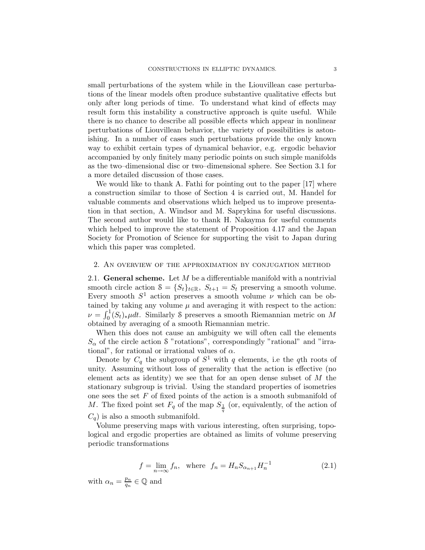small perturbations of the system while in the Liouvillean case perturbations of the linear models often produce substantive qualitative effects but only after long periods of time. To understand what kind of effects may result form this instability a constructive approach is quite useful. While there is no chance to describe all possible effects which appear in nonlinear perturbations of Liouvillean behavior, the variety of possibilities is astonishing. In a number of cases such perturbations provide the only known way to exhibit certain types of dynamical behavior, e.g. ergodic behavior accompanied by only finitely many periodic points on such simple manifolds as the two–dimensional disc or two–dimensional sphere. See Section 3.1 for a more detailed discussion of those cases.

We would like to thank A. Fathi for pointing out to the paper [17] where a construction similar to those of Section 4 is carried out, M. Handel for valuable comments and observations which helped us to improve presentation in that section, A. Windsor and M. Saprykina for useful discussions. The second author would like to thank H. Nakayma for useful comments which helped to improve the statement of Proposition 4.17 and the Japan Society for Promotion of Science for supporting the visit to Japan during which this paper was completed.

#### 2. An overview of the approximation by conjugation method

2.1. General scheme. Let  $M$  be a differentiable manifold with a nontrivial smooth circle action  $S = \{S_t\}_{t \in \mathbb{R}}$ ,  $S_{t+1} = S_t$  preserving a smooth volume. Every smooth  $S^1$  action preserves a smooth volume  $\nu$  which can be obtained by taking any volume  $\mu$  and averaging it with respect to the action:  $\nu = \int_0^1 (S_t)_*\mu dt$ . Similarly S preserves a smooth Riemannian metric on M obtained by averaging of a smooth Riemannian metric.

When this does not cause an ambiguity we will often call the elements  $S_{\alpha}$  of the circle action S "rotations", correspondingly "rational" and "irrational", for rational or irrational values of  $\alpha$ .

Denote by  $C_q$  the subgroup of  $S^1$  with q elements, i.e the qth roots of unity. Assuming without loss of generality that the action is effective (no element acts as identity) we see that for an open dense subset of  $M$  the stationary subgroup is trivial. Using the standard properties of isometries one sees the set  $F$  of fixed points of the action is a smooth submanifold of M. The fixed point set  $F_q$  of the map  $S_{\frac{1}{q}}$  (or, equivalently, of the action of  $C_q$ ) is also a smooth submanifold.

Volume preserving maps with various interesting, often surprising, topological and ergodic properties are obtained as limits of volume preserving periodic transformations

$$
f = \lim_{n \to \infty} f_n
$$
, where  $f_n = H_n S_{\alpha_{n+1}} H_n^{-1}$  (2.1)

with  $\alpha_n = \frac{p_n}{q_n}$  $\frac{p_n}{q_n} \in \mathbb{Q}$  and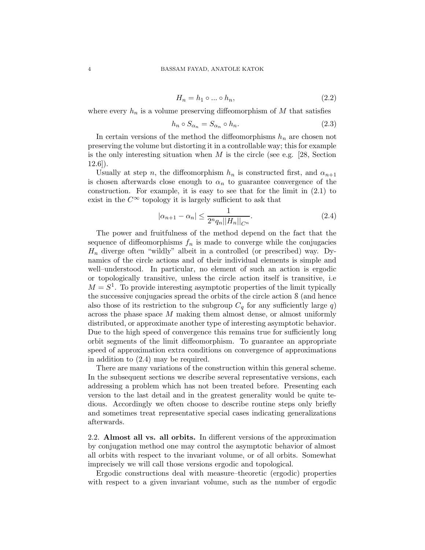$$
H_n = h_1 \circ \dots \circ h_n,\tag{2.2}
$$

where every  $h_n$  is a volume preserving diffeomorphism of M that satisfies

$$
h_n \circ S_{\alpha_n} = S_{\alpha_n} \circ h_n. \tag{2.3}
$$

In certain versions of the method the diffeomorphisms  $h_n$  are chosen not preserving the volume but distorting it in a controllable way; this for example is the only interesting situation when  $M$  is the circle (see e.g. [28, Section  $12.6$ ].

Usually at step n, the diffeomorphism  $h_n$  is constructed first, and  $\alpha_{n+1}$ is chosen afterwards close enough to  $\alpha_n$  to guarantee convergence of the construction. For example, it is easy to see that for the limit in (2.1) to exist in the  $C^{\infty}$  topology it is largely sufficient to ask that

$$
|\alpha_{n+1} - \alpha_n| \le \frac{1}{2^n q_n ||H_n||_{C^n}}.
$$
\n(2.4)

The power and fruitfulness of the method depend on the fact that the sequence of diffeomorphisms  $f_n$  is made to converge while the conjugacies  $H_n$  diverge often "wildly" albeit in a controlled (or prescribed) way. Dynamics of the circle actions and of their individual elements is simple and well–understood. In particular, no element of such an action is ergodic or topologically transitive, unless the circle action itself is transitive, i.e  $M = S<sup>1</sup>$ . To provide interesting asymptotic properties of the limit typically the successive conjugacies spread the orbits of the circle action S (and hence also those of its restriction to the subgroup  $C_q$  for any sufficiently large q) across the phase space M making them almost dense, or almost uniformly distributed, or approximate another type of interesting asymptotic behavior. Due to the high speed of convergence this remains true for sufficiently long orbit segments of the limit diffeomorphism. To guarantee an appropriate speed of approximation extra conditions on convergence of approximations in addition to (2.4) may be required.

There are many variations of the construction within this general scheme. In the subsequent sections we describe several representative versions, each addressing a problem which has not been treated before. Presenting each version to the last detail and in the greatest generality would be quite tedious. Accordingly we often choose to describe routine steps only briefly and sometimes treat representative special cases indicating generalizations afterwards.

2.2. Almost all vs. all orbits. In different versions of the approximation by conjugation method one may control the asymptotic behavior of almost all orbits with respect to the invariant volume, or of all orbits. Somewhat imprecisely we will call those versions ergodic and topological.

Ergodic constructions deal with measure–theoretic (ergodic) properties with respect to a given invariant volume, such as the number of ergodic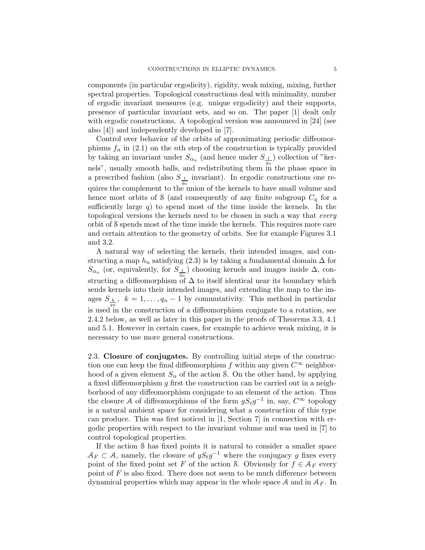components (in particular ergodicity), rigidity, weak mixing, mixing, further spectral properties. Topological constructions deal with minimality, number of ergodic invariant measures (e.g. unique ergodicity) and their supports, presence of particular invariant sets, and so on. The paper [1] dealt only with ergodic constructions. A topological version was announced in [24] (see also [4]) and independently developed in [7].

Control over behavior of the orbits of approximating periodic diffeomorphisms  $f_n$  in (2.1) on the nth step of the construction is typically provided by taking an invariant under  $S_{\alpha_n}$  (and hence under  $S_{\perp}$ ) collection of "kernels", usually smooth balls, and redistributing them in the phase space in a prescribed fashion (also  $S_{\frac{1}{q_n}}$  invariant). In ergodic constructions one requires the complement to the union of the kernels to have small volume and hence most orbits of S (and consequently of any finite subgroup  $C_q$  for a sufficiently large  $q$ ) to spend most of the time inside the kernels. In the topological versions the kernels need to be chosen in such a way that every orbit of S spends most of the time inside the kernels. This requires more care and certain attention to the geometry of orbits. See for example Figures 3.1 and 3.2.

A natural way of selecting the kernels, their intended images, and constructing a map  $h_n$  satisfying (2.3) is by taking a fundamental domain  $\Delta$  for  $S_{\alpha_n}$  (or, equivalently, for  $S_{\frac{1}{q_n}}$ ) choosing kernels and images inside  $\Delta$ , constructing a diffeomorphism of  $\Delta$  to itself identical near its boundary which sends kernels into their intended images, and extending the map to the images  $S_{\frac{k}{a_n}}$ ,  $k = 1, \ldots, q_n - 1$  by commutativity. This method in particular is used in the construction of a diffeomorphism conjugate to a rotation, see 2.4.2 below, as well as later in this paper in the proofs of Theorems 3.3, 4.1 and 5.1. However in certain cases, for example to achieve weak mixing, it is necessary to use more general constructions.

2.3. Closure of conjugates. By controlling initial steps of the construction one can keep the final diffeomorphism f within any given  $C^{\infty}$  neighborhood of a given element  $S_{\alpha}$  of the action S. On the other hand, by applying a fixed diffeomorphism  $q$  first the construction can be carried out in a neighborhood of any diffeomorphism conjugate to an element of the action. Thus the closure A of diffeomorphisms of the form  $gS_t g^{-1}$  in, say,  $C^{\infty}$  topology is a natural ambient space for considering what a construction of this type can produce. This was first noticed in [1, Section 7] in connection with ergodic properties with respect to the invariant volume and was used in [7] to control topological properties.

If the action S has fixed points it is natural to consider a smaller space  $A_F \subset A$ , namely, the closure of  $gS_t g^{-1}$  where the conjugacy g fixes every point of the fixed point set F of the action S. Obviously for  $f \in A_F$  every point of  $F$  is also fixed. There does not seem to be much difference between dynamical properties which may appear in the whole space A and in  $A_F$ . In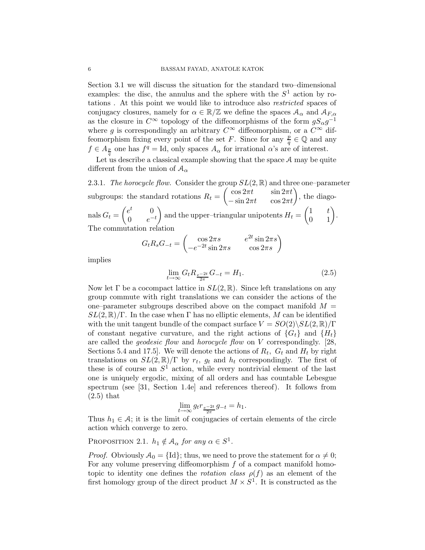Section 3.1 we will discuss the situation for the standard two–dimensional examples: the disc, the annulus and the sphere with the  $S<sup>1</sup>$  action by rotations . At this point we would like to introduce also restricted spaces of conjugacy closures, namely for  $\alpha \in \mathbb{R}/\mathbb{Z}$  we define the spaces  $A_{\alpha}$  and  $A_{F,\alpha}$ as the closure in  $C^{\infty}$  topology of the diffeomorphisms of the form  $gS_{\alpha}g^{-1}$ where g is correspondingly an arbitrary  $C^{\infty}$  diffeomorphism, or a  $C^{\infty}$  diffeomorphism fixing every point of the set F. Since for any  $\frac{p}{q}$  $\frac{p}{q} \in \mathbb{Q}$  and any  $f \in A_{\frac{p}{q}}$  one has  $f^q = \text{Id}$ , only spaces  $A_\alpha$  for irrational  $\alpha$ 's are of interest.

Let us describe a classical example showing that the space  $A$  may be quite different from the union of  $A_{\alpha}$ 

2.3.1. The horocycle flow. Consider the group  $SL(2,\mathbb{R})$  and three one–parameter subgroups: the standard rotations  $R_t = \begin{pmatrix} \cos 2\pi t & \sin 2\pi t \\ \sin 2\pi t & \cos 2\pi t \end{pmatrix}$  $-\sin 2\pi t \qquad \cos 2\pi t$ ), the diagonals  $G_t = \begin{pmatrix} e^t & 0 \\ 0 & e^{-t} \end{pmatrix}$ 0  $e^{-t}$ and the upper–triangular unipotents  $H_t = \begin{pmatrix} 1 & t \\ 0 & 1 \end{pmatrix}$ 0 1 . The commutation relation

$$
G_t R_s G_{-t} = \begin{pmatrix} \cos 2\pi s & e^{2t} \sin 2\pi s \\ -e^{-2t} \sin 2\pi s & \cos 2\pi s \end{pmatrix}
$$

implies

$$
\lim_{t \to \infty} G_t R_{\frac{e^{-2t}}{2\pi}} G_{-t} = H_1.
$$
\n(2.5)

Now let  $\Gamma$  be a cocompact lattice in  $SL(2,\mathbb{R})$ . Since left translations on any group commute with right translations we can consider the actions of the one–parameter subgroups described above on the compact manifold  $M =$  $SL(2,\mathbb{R})/\Gamma$ . In the case when  $\Gamma$  has no elliptic elements, M can be identified with the unit tangent bundle of the compact surface  $V = SO(2)\backslash SL(2,\mathbb{R})/\Gamma$ of constant negative curvature, and the right actions of  $\{G_t\}$  and  $\{H_t\}$ are called the *geodesic flow* and *horocycle flow* on V correspondingly. [28, Sections 5.4 and 17.5. We will denote the actions of  $R_t$ ,  $G_t$  and  $H_t$  by right translations on  $SL(2,\mathbb{R})/\Gamma$  by  $r_t$ ,  $g_t$  and  $h_t$  correspondingly. The first of these is of course an  $S^1$  action, while every nontrivial element of the last one is uniquely ergodic, mixing of all orders and has countable Lebesgue spectrum (see [31, Section 1.4e] and references thereof). It follows from (2.5) that

$$
\lim_{t \to \infty} g_t r_{\frac{e^{-2t}}{2\pi}} g_{-t} = h_1.
$$

Thus  $h_1 \in \mathcal{A}$ ; it is the limit of conjugacies of certain elements of the circle action which converge to zero.

PROPOSITION 2.1.  $h_1 \notin \mathcal{A}_{\alpha}$  for any  $\alpha \in S^1$ .

*Proof.* Obviously  $A_0 = \{Id\}$ ; thus, we need to prove the statement for  $\alpha \neq 0$ ; For any volume preserving diffeomorphism  $f$  of a compact manifold homotopic to identity one defines the *rotation class*  $\rho(f)$  as an element of the first homology group of the direct product  $M \times S^1$ . It is constructed as the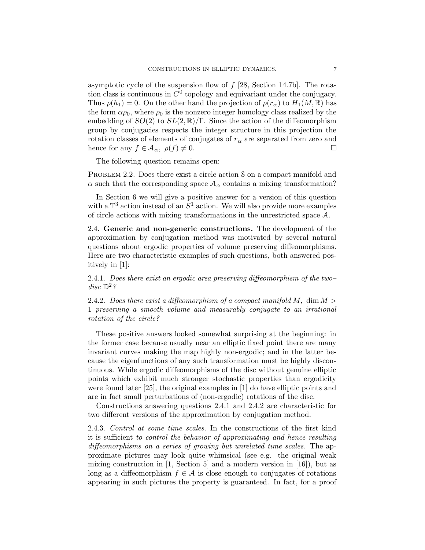asymptotic cycle of the suspension flow of  $f$  [28, Section 14.7b]. The rotation class is continuous in  $C^0$  topology and equivariant under the conjugacy. Thus  $\rho(h_1) = 0$ . On the other hand the projection of  $\rho(r_\alpha)$  to  $H_1(M, \mathbb{R})$  has the form  $\alpha \rho_0$ , where  $\rho_0$  is the nonzero integer homology class realized by the embedding of  $SO(2)$  to  $SL(2,\mathbb{R})/\Gamma$ . Since the action of the diffeomorphism group by conjugacies respects the integer structure in this projection the rotation classes of elements of conjugates of  $r_\alpha$  are separated from zero and hence for any  $f \in \mathcal{A}_{\alpha}, \ \rho(f) \neq 0.$ 

The following question remains open:

PROBLEM 2.2. Does there exist a circle action S on a compact manifold and  $\alpha$  such that the corresponding space  $A_{\alpha}$  contains a mixing transformation?

In Section 6 we will give a positive answer for a version of this question with a  $\mathbb{T}^3$  action instead of an  $S^1$  action. We will also provide more examples of circle actions with mixing transformations in the unrestricted space A.

2.4. Generic and non-generic constructions. The development of the approximation by conjugation method was motivated by several natural questions about ergodic properties of volume preserving diffeomorphisms. Here are two characteristic examples of such questions, both answered positively in [1]:

2.4.1. Does there exist an ergodic area preserving diffeomorphism of the two– disc  $\mathbb{D}^2$ ?

2.4.2. Does there exist a diffeomorphism of a compact manifold  $M$ , dim  $M >$ 1 preserving a smooth volume and measurably conjugate to an irrational rotation of the circle?

These positive answers looked somewhat surprising at the beginning: in the former case because usually near an elliptic fixed point there are many invariant curves making the map highly non-ergodic; and in the latter because the eigenfunctions of any such transformation must be highly discontinuous. While ergodic diffeomorphisms of the disc without genuine elliptic points which exhibit much stronger stochastic properties than ergodicity were found later [25], the original examples in [1] do have elliptic points and are in fact small perturbations of (non-ergodic) rotations of the disc.

Constructions answering questions 2.4.1 and 2.4.2 are characteristic for two different versions of the approximation by conjugation method.

2.4.3. Control at some time scales. In the constructions of the first kind it is sufficient to control the behavior of approximating and hence resulting diffeomorphisms on a series of growing but unrelated time scales. The approximate pictures may look quite whimsical (see e.g. the original weak mixing construction in  $[1, \text{Section 5}]$  and a modern version in  $[16]$ , but as long as a diffeomorphism  $f \in \mathcal{A}$  is close enough to conjugates of rotations appearing in such pictures the property is guaranteed. In fact, for a proof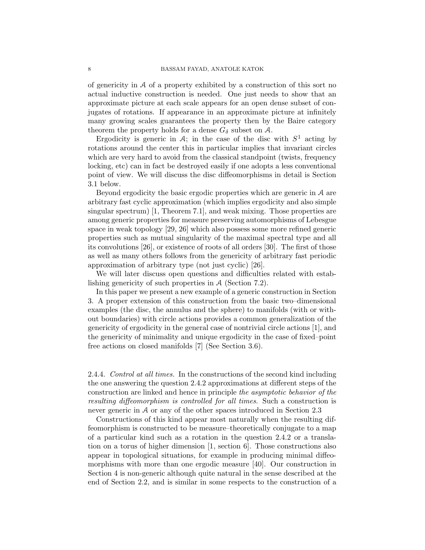of genericity in  $A$  of a property exhibited by a construction of this sort no actual inductive construction is needed. One just needs to show that an approximate picture at each scale appears for an open dense subset of conjugates of rotations. If appearance in an approximate picture at infinitely many growing scales guarantees the property then by the Baire category theorem the property holds for a dense  $G_{\delta}$  subset on A.

Ergodicity is generic in A; in the case of the disc with  $S^1$  acting by rotations around the center this in particular implies that invariant circles which are very hard to avoid from the classical standpoint (twists, frequency locking, etc) can in fact be destroyed easily if one adopts a less conventional point of view. We will discuss the disc diffeomorphisms in detail is Section 3.1 below.

Beyond ergodicity the basic ergodic properties which are generic in A are arbitrary fast cyclic approximation (which implies ergodicity and also simple singular spectrum) [1, Theorem 7.1], and weak mixing. Those properties are among generic properties for measure preserving automorphisms of Lebesgue space in weak topology [29, 26] which also possess some more refined generic properties such as mutual singularity of the maximal spectral type and all its convolutions [26], or existence of roots of all orders [30]. The first of those as well as many others follows from the genericity of arbitrary fast periodic approximation of arbitrary type (not just cyclic) [26].

We will later discuss open questions and difficulties related with establishing genericity of such properties in A (Section 7.2).

In this paper we present a new example of a generic construction in Section 3. A proper extension of this construction from the basic two–dimensional examples (the disc, the annulus and the sphere) to manifolds (with or without boundaries) with circle actions provides a common generalization of the genericity of ergodicity in the general case of nontrivial circle actions [1], and the genericity of minimality and unique ergodicity in the case of fixed–point free actions on closed manifolds [7] (See Section 3.6).

2.4.4. Control at all times. In the constructions of the second kind including the one answering the question 2.4.2 approximations at different steps of the construction are linked and hence in principle the asymptotic behavior of the resulting diffeomorphism is controlled for all times. Such a construction is never generic in A or any of the other spaces introduced in Section 2.3

Constructions of this kind appear most naturally when the resulting diffeomorphism is constructed to be measure–theoretically conjugate to a map of a particular kind such as a rotation in the question 2.4.2 or a translation on a torus of higher dimension [1, section 6]. Those constructions also appear in topological situations, for example in producing minimal diffeomorphisms with more than one ergodic measure [40]. Our construction in Section 4 is non-generic although quite natural in the sense described at the end of Section 2.2, and is similar in some respects to the construction of a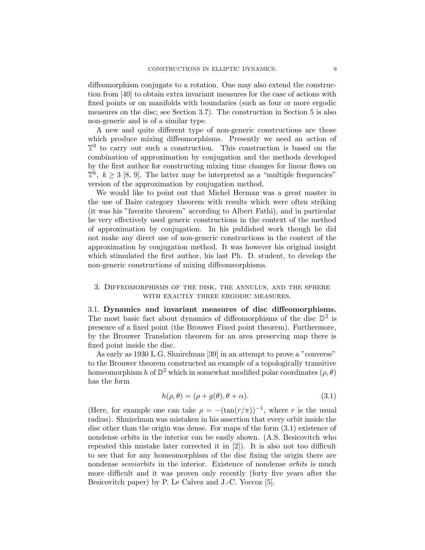diffeomorphism conjugate to a rotation. One may also extend the construction from [40] to obtain extra invariant measures for the case of actions with fixed points or on manifolds with boundaries (such as four or more ergodic measures on the disc; see Section 3.7). The construction in Section 5 is also non-generic and is of a similar type.

A new and quite different type of non-generic constructions are those which produce mixing diffeomorphisms. Presently we need an action of  $\mathbb{T}^3$  to carry out such a construction. This construction is based on the combination of approximation by conjugation and the methods developed by the first author for constructing mixing time changes for linear flows on  $\mathbb{T}^k$ ,  $k \geq 3$  [8, 9]. The latter may be interpreted as a "multiple frequencies" version of the approximation by conjugation method.

We would like to point out that Michel Herman was a great master in the use of Baire category theorem with results which were often striking (it was his "favorite theorem" according to Albert Fathi), and in particular he very effectively used generic constructions in the context of the method of approximation by conjugation. In his published work though he did not make any direct use of non-generic constructions in the context of the approximation by conjugation method. It was however his original insight which stimulated the first author, his last Ph. D. student, to develop the non-generic constructions of mixing diffeomeorphisms.

## 3. Diffeomorphisms of the disk, the annulus, and the sphere with exactly three ergodic measures.

3.1. Dynamics and invariant measures of disc diffeomorphisms. The most basic fact about dynamics of diffeomorphisms of the disc  $\mathbb{D}^2$  is presence of a fixed point (the Brouwer Fixed point theorem). Furthermore, by the Brouwer Translation theorem for an area preserving map there is fixed point inside the disc.

As early as 1930 L.G. Shnirelman [39] in an attempt to prove a "converse" to the Brouwer theorem constructed an example of a topologically transitive homeomorphism h of  $\mathbb{D}^2$  which in somewhat modified polar coordinates  $(\rho, \theta)$ has the form

$$
h(\rho, \theta) = (\rho + g(\theta), \theta + \alpha). \tag{3.1}
$$

(Here, for example one can take  $\rho = -(\tan(r/\pi))^{-1}$ , where r is the usual radius). Shnirelman was mistaken in his assertion that every orbit inside the disc other than the origin was dense. For maps of the form (3.1) existence of nondense orbits in the interior can be easily shown. (A.S. Besicovitch who repeated this mistake later corrected it in [2]). It is also not too difficult to see that for any homeomorphism of the disc fixing the origin there are nondense *semiorbits* in the interior. Existence of nondense *orbits* is much more difficult and it was proven only recently (forty five years after the Besicovitch paper) by P. Le Calvez and J.-C. Yoccoz [5].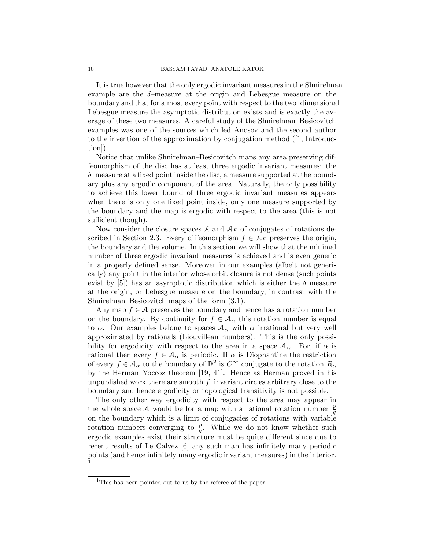It is true however that the only ergodic invariant measures in the Shnirelman example are the  $\delta$ -measure at the origin and Lebesgue measure on the boundary and that for almost every point with respect to the two–dimensional Lebesgue measure the asymptotic distribution exists and is exactly the average of these two measures. A careful study of the Shnirelman–Besicovitch examples was one of the sources which led Anosov and the second author to the invention of the approximation by conjugation method ([1, Introduction]).

Notice that unlike Shnirelman–Besicovitch maps any area preserving diffeomorphism of the disc has at least three ergodic invariant measures: the δ–measure at a fixed point inside the disc, a measure supported at the boundary plus any ergodic component of the area. Naturally, the only possibility to achieve this lower bound of three ergodic invariant measures appears when there is only one fixed point inside, only one measure supported by the boundary and the map is ergodic with respect to the area (this is not sufficient though).

Now consider the closure spaces A and  $A_F$  of conjugates of rotations described in Section 2.3. Every diffeomorphism  $f \in \mathcal{A}_F$  preserves the origin, the boundary and the volume. In this section we will show that the minimal number of three ergodic invariant measures is achieved and is even generic in a properly defined sense. Moreover in our examples (albeit not generically) any point in the interior whose orbit closure is not dense (such points exist by [5]) has an asymptotic distribution which is either the  $\delta$  measure at the origin, or Lebesgue measure on the boundary, in contrast with the Shnirelman–Besicovitch maps of the form (3.1).

Any map  $f \in \mathcal{A}$  preserves the boundary and hence has a rotation number on the boundary. By continuity for  $f \in A_{\alpha}$  this rotation number is equal to  $\alpha$ . Our examples belong to spaces  $A_{\alpha}$  with  $\alpha$  irrational but very well approximated by rationals (Liouvillean numbers). This is the only possibility for ergodicity with respect to the area in a space  $A_{\alpha}$ . For, if  $\alpha$  is rational then every  $f \in A_\alpha$  is periodic. If  $\alpha$  is Diophantine the restriction of every  $f \in A_\alpha$  to the boundary of  $\mathbb{D}^2$  is  $C^\infty$  conjugate to the rotation  $R_\alpha$ by the Herman–Yoccoz theorem [19, 41]. Hence as Herman proved in his unpublished work there are smooth  $f$ –invariant circles arbitrary close to the boundary and hence ergodicity or topological transitivity is not possible.

The only other way ergodicity with respect to the area may appear in the whole space A would be for a map with a rational rotation number  $\frac{p}{q}$ q on the boundary which is a limit of conjugacies of rotations with variable rotation numbers converging to  $\frac{p}{q}$ . While we do not know whether such ergodic examples exist their structure must be quite different since due to recent results of Le Calvez [6] any such map has infinitely many periodic points (and hence infinitely many ergodic invariant measures) in the interior. 1

<sup>&</sup>lt;sup>1</sup>This has been pointed out to us by the referee of the paper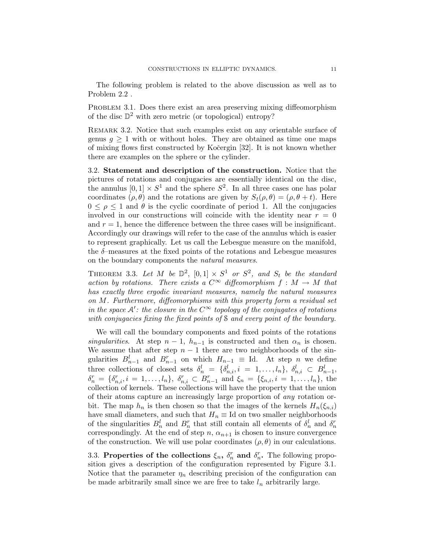The following problem is related to the above discussion as well as to Problem 2.2 .

PROBLEM 3.1. Does there exist an area preserving mixing diffeomorphism of the disc  $\mathbb{D}^2$  with zero metric (or topological) entropy?

REMARK 3.2. Notice that such examples exist on any orientable surface of genus  $q \geq 1$  with or without holes. They are obtained as time one maps of mixing flows first constructed by Koˇcergin [32]. It is not known whether there are examples on the sphere or the cylinder.

3.2. Statement and description of the construction. Notice that the pictures of rotations and conjugacies are essentially identical on the disc, the annulus  $[0, 1] \times S^1$  and the sphere  $S^2$ . In all three cases one has polar coordinates  $(\rho, \theta)$  and the rotations are given by  $S_t(\rho, \theta) = (\rho, \theta + t)$ . Here  $0 \leq \rho \leq 1$  and  $\theta$  is the cyclic coordinate of period 1. All the conjugacies involved in our constructions will coincide with the identity near  $r = 0$ and  $r = 1$ , hence the difference between the three cases will be insignificant. Accordingly our drawings will refer to the case of the annulus which is easier to represent graphically. Let us call the Lebesgue measure on the manifold, the  $\delta$ -measures at the fixed points of the rotations and Lebesgue measures on the boundary components the natural measures.

THEOREM 3.3. Let M be  $\mathbb{D}^2$ ,  $[0,1] \times S^1$  or  $S^2$ , and  $S_t$  be the standard action by rotations. There exists a  $C^{\infty}$  diffeomorphism  $f : M \to M$  that has exactly three ergodic invariant measures, namely the natural measures on M. Furthermore, diffeomorphisms with this property form a residual set in the space  $A'$ : the closure in the  $C^{\infty}$  topology of the conjugates of rotations with conjugacies fixing the fixed points of S and every point of the boundary.

We will call the boundary components and fixed points of the rotations singularities. At step  $n-1$ ,  $h_{n-1}$  is constructed and then  $\alpha_n$  is chosen. We assume that after step  $n - 1$  there are two neighborhoods of the singularities  $B_{n-1}^l$  and  $B_{n-1}^r$  on which  $H_{n-1} \equiv \text{Id}$ . At step n we define three collections of closed sets  $\delta_n^l = \{\delta_{n,i}^l, i = 1, \ldots, l_n\}, \delta_{n,i}^l \subset B_{n-1}^l$ ,  $\delta_n^r = \{\delta_{n,i}^r, i = 1, \ldots, l_n\}, \ \delta_{n,i}^r \subset B_{n-1}^r \text{ and } \xi_n = \{\xi_{n,i}, i = 1, \ldots, l_n\}, \text{ the }$ collection of kernels. These collections will have the property that the union of their atoms capture an increasingly large proportion of any rotation orbit. The map  $h_n$  is then chosen so that the images of the kernels  $H_n(\xi_{n,i})$ have small diameters, and such that  $H_n \equiv \text{Id}$  on two smaller neighborhoods of the singularities  $B_n^l$  and  $B_n^r$  that still contain all elements of  $\delta_n^l$  and  $\delta_n^r$ correspondingly. At the end of step n,  $\alpha_{n+1}$  is chosen to insure convergence of the construction. We will use polar coordinates  $(\rho, \theta)$  in our calculations.

3.3. Properties of the collections  $\xi_n$ ,  $\delta_n^r$  and  $\delta_n^r$ . The following proposition gives a description of the configuration represented by Figure 3.1. Notice that the parameter  $\eta_n$  describing precision of the configuration can be made arbitrarily small since we are free to take  $l_n$  arbitrarily large.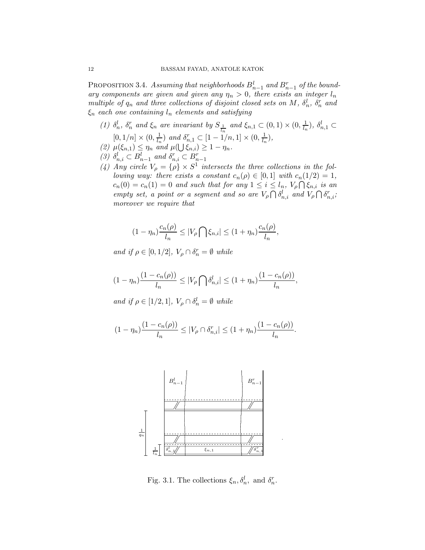PROPOSITION 3.4. Assuming that neighborhoods  $B_{n-1}^l$  and  $B_{n-1}^r$  of the boundary components are given and given any  $\eta_n > 0$ , there exists an integer  $l_n$ multiple of  $q_n$  and three collections of disjoint closed sets on M,  $\delta_n^l$ ,  $\delta_n^r$  and  $\xi_n$  each one containing  $l_n$  elements and satisfying

- (1)  $\delta_n^l$ ,  $\delta_n^r$  and  $\xi_n$  are invariant by  $S_{\frac{1}{l_n}}$  and  $\xi_{n,1} \subset (0,1) \times (0, \frac{1}{l_n})$  $\frac{1}{l_n}$ ),  $\delta_{n,1}^l \subset$  $[0, 1/n] \times (0, \frac{1}{l_n})$  $\frac{1}{l_n}$ ) and  $\delta_{n,1}^r \subset [1 - 1/n, 1] \times (0, \frac{1}{l_n})$  $\frac{1}{l_n}),$
- (2)  $\mu(\xi_{n,1}) \leq \eta_n$  and  $\mu(\bigcup \xi_{n,i}) \geq 1 \eta_n$ .
- (3)  $\delta_{n,i}^l \subset B_{n-1}^l$  and  $\delta_{n,i}^r \subset B_{n-1}^r$
- (4) Any circle  $V_{\rho} = {\rho} \times S^1$  intersects the three collections in the following way: there exists a constant  $c_n(\rho) \in [0,1]$  with  $c_n(1/2) = 1$ ,  $c_n(0) = c_n(1) = 0$  and such that for any  $1 \leq i \leq l_n$ ,  $V_\rho \bigcap \xi_{n,i}$  is an empty set, a point or a segment and so are  $V_{\rho} \bigcap \delta_{n,i}^{l}$  and  $V_{\rho} \bigcap \delta_{n,i}^{r}$ ; moreover we require that

$$
(1 - \eta_n) \frac{c_n(\rho)}{l_n} \le |V_\rho \bigcap \xi_{n,i}| \le (1 + \eta_n) \frac{c_n(\rho)}{l_n},
$$

and if  $\rho \in [0, 1/2]$ ,  $V_{\rho} \cap \delta_n^r = \emptyset$  while

$$
(1 - \eta_n) \frac{(1 - c_n(\rho))}{l_n} \le |V_\rho \bigcap \delta_{n,i}^l| \le (1 + \eta_n) \frac{(1 - c_n(\rho))}{l_n},
$$

and if  $\rho \in [1/2, 1], V_{\rho} \cap \delta_n^l = \emptyset$  while

$$
(1 - \eta_n) \frac{(1 - c_n(\rho))}{l_n} \le |V_\rho \cap \delta_{n,i}^r| \le (1 + \eta_n) \frac{(1 - c_n(\rho))}{l_n}.
$$



Fig. 3.1. The collections  $\xi_n, \delta_n^l$ , and  $\delta_n^r$ .

.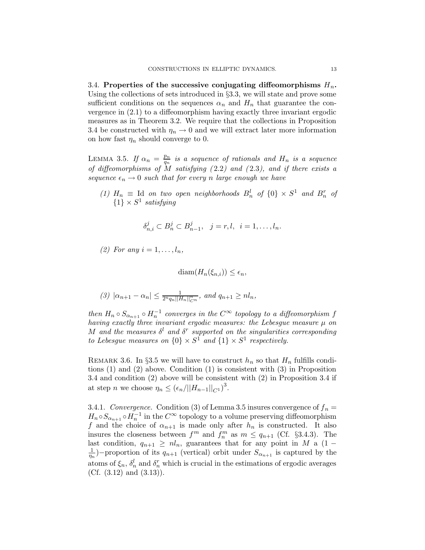3.4. Properties of the successive conjugating diffeomorphisms  $H_n$ . Using the collections of sets introduced in §3.3, we will state and prove some sufficient conditions on the sequences  $\alpha_n$  and  $H_n$  that guarantee the convergence in (2.1) to a diffeomorphism having exactly three invariant ergodic measures as in Theorem 3.2. We require that the collections in Proposition 3.4 be constructed with  $\eta_n \to 0$  and we will extract later more information on how fast  $\eta_n$  should converge to 0.

LEMMA 3.5. If  $\alpha_n = \frac{p_n}{q_n}$  $\frac{p_n}{q_n}$  is a sequence of rationals and  $H_n$  is a sequence of diffeomorphisms of  $\ddot{M}$  satisfying (2.2) and (2.3), and if there exists a sequence  $\epsilon_n \to 0$  such that for every n large enough we have

(1)  $H_n \equiv$  Id on two open neighborhoods  $B_n^l$  of  $\{0\} \times S^1$  and  $B_n^r$  of  ${1} \times S^1$  satisfying

$$
\delta_{n,i}^j \subset B_n^j \subset B_{n-1}^j, \quad j = r, l, \quad i = 1, \dots, l_n.
$$

(2) For any  $i=1,\ldots,l_n$ ,

 $\text{diam}(H_n(\xi_{n,i})) \leq \epsilon_n,$ 

$$
(3) |\alpha_{n+1} - \alpha_n| \leq \frac{1}{2^n q_n ||H_n||_{C^n}^n}, \text{ and } q_{n+1} \geq n l_n,
$$

then  $H_n \circ S_{\alpha_{n+1}} \circ H_n^{-1}$  converges in the  $C^{\infty}$  topology to a diffeomorphism f having exactly three invariant ergodic measures: the Lebesgue measure  $\mu$  on M and the measures  $\delta^l$  and  $\delta^r$  supported on the singularities corresponding to Lebesgue measures on  $\{0\} \times S^1$  and  $\{1\} \times S^1$  respectively.

REMARK 3.6. In §3.5 we will have to construct  $h_n$  so that  $H_n$  fulfills conditions (1) and (2) above. Condition (1) is consistent with (3) in Proposition 3.4 and condition (2) above will be consistent with (2) in Proposition 3.4 if at step *n* we choose  $\eta_n \leq (\epsilon_n/||H_{n-1}||_{C^1})^3$ .

3.4.1. Convergence. Condition (3) of Lemma 3.5 insures convergence of  $f_n =$  $H_n \circ S_{\alpha_{n+1}} \circ H_n^{-1}$  in the  $C^{\infty}$  topology to a volume preserving diffeomorphism f and the choice of  $\alpha_{n+1}$  is made only after  $h_n$  is constructed. It also insures the closeness between  $f^m$  and  $f_n^m$  as  $m \leq q_{n+1}$  (Cf. §3.4.3). The last condition,  $q_{n+1} \geq nl_n$ , guarantees that for any point in M a (1 – 1  $\frac{1}{\eta_n}$ )–proportion of its  $q_{n+1}$  (vertical) orbit under  $S_{\alpha_{n+1}}$  is captured by the atoms of  $\xi_n$ ,  $\delta_n^l$  and  $\delta_n^r$  which is crucial in the estimations of ergodic averages (Cf.  $(3.12)$  and  $(3.13)$ ).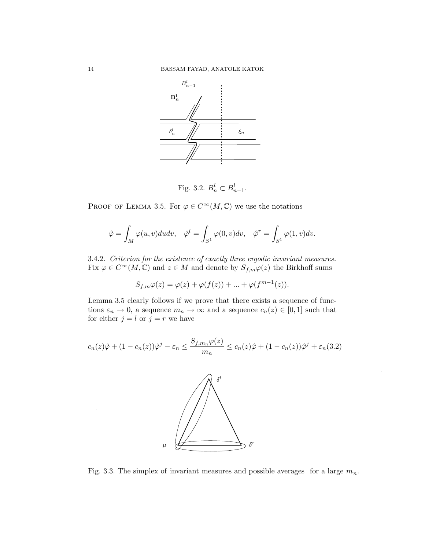

$$
Fig. 3.2. B_n^l \subset B_{n-1}^l.
$$

PROOF OF LEMMA 3.5. For  $\varphi \in C^{\infty}(M, \mathbb{C})$  we use the notations

$$
\hat{\varphi} = \int_M \varphi(u, v) du dv, \quad \hat{\varphi}^l = \int_{S^1} \varphi(0, v) dv, \quad \hat{\varphi}^r = \int_{S^1} \varphi(1, v) dv.
$$

3.4.2. Criterion for the existence of exactly three ergodic invariant measures. Fix  $\varphi \in C^{\infty}(M, \mathbb{C})$  and  $z \in M$  and denote by  $S_{f,m}\varphi(z)$  the Birkhoff sums

$$
S_{f,m}\varphi(z) = \varphi(z) + \varphi(f(z)) + \dots + \varphi(f^{m-1}(z)).
$$

Lemma 3.5 clearly follows if we prove that there exists a sequence of functions  $\varepsilon_n \to 0$ , a sequence  $m_n \to \infty$  and a sequence  $c_n(z) \in [0,1]$  such that for either  $j = l$  or  $j = r$  we have

$$
c_n(z)\hat{\varphi} + (1 - c_n(z))\hat{\varphi}^j - \varepsilon_n \le \frac{S_{f,m_n}\varphi(z)}{m_n} \le c_n(z)\hat{\varphi} + (1 - c_n(z))\hat{\varphi}^j + \varepsilon_n(3.2)
$$



Fig. 3.3. The simplex of invariant measures and possible averages for a large  $m_n$ .

.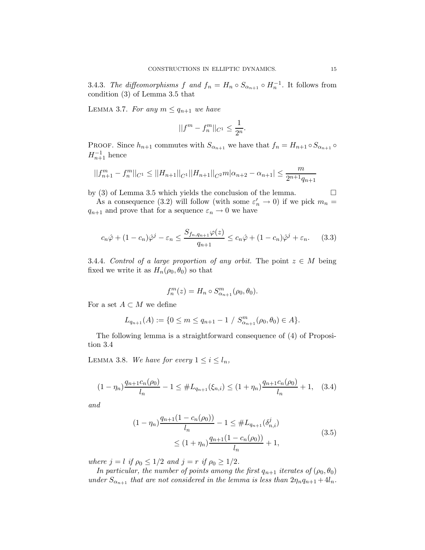3.4.3. The diffeomorphisms f and  $f_n = H_n \circ S_{\alpha_{n+1}} \circ H_n^{-1}$ . It follows from condition (3) of Lemma 3.5 that

LEMMA 3.7. For any  $m \leq q_{n+1}$  we have

$$
||f^m - f_n^m||_{C^1} \le \frac{1}{2^n}.
$$

PROOF. Since  $h_{n+1}$  commutes with  $S_{\alpha_{n+1}}$  we have that  $f_n = H_{n+1} \circ S_{\alpha_{n+1}} \circ$  $H_{n+1}^{-1}$  hence

$$
||f_{n+1}^m - f_n^m||_{C^1} \le ||H_{n+1}||_{C^1}||H_{n+1}||_{C^2}m|\alpha_{n+2} - \alpha_{n+1}| \le \frac{m}{2^{n+1}q_{n+1}}
$$

by (3) of Lemma 3.5 which yields the conclusion of the lemma.  $\Box$ 

As a consequence (3.2) will follow (with some  $\varepsilon_n' \to 0$ ) if we pick  $m_n =$  $q_{n+1}$  and prove that for a sequence  $\varepsilon_n \to 0$  we have

$$
c_n\hat{\varphi} + (1 - c_n)\hat{\varphi}^j - \varepsilon_n \le \frac{S_{f_n, q_{n+1}}\varphi(z)}{q_{n+1}} \le c_n\hat{\varphi} + (1 - c_n)\hat{\varphi}^j + \varepsilon_n. \tag{3.3}
$$

3.4.4. Control of a large proportion of any orbit. The point  $z \in M$  being fixed we write it as  $H_n(\rho_0, \theta_0)$  so that

$$
f_n^m(z) = H_n \circ S_{\alpha_{n+1}}^m(\rho_0, \theta_0).
$$

For a set  $A \subset M$  we define

$$
L_{q_{n+1}}(A) := \{ 0 \le m \le q_{n+1} - 1 / S^{m}_{\alpha_{n+1}}(\rho_0, \theta_0) \in A \}.
$$

The following lemma is a straightforward consequence of (4) of Proposition 3.4

LEMMA 3.8. We have for every  $1 \leq i \leq l_n$ ,

$$
(1 - \eta_n) \frac{q_{n+1}c_n(\rho_0)}{l_n} - 1 \le \#L_{q_{n+1}}(\xi_{n,i}) \le (1 + \eta_n) \frac{q_{n+1}c_n(\rho_0)}{l_n} + 1, \quad (3.4)
$$

and

$$
(1 - \eta_n) \frac{q_{n+1}(1 - c_n(\rho_0))}{l_n} - 1 \leq \#L_{q_{n+1}}(\delta_{n,i}^j)
$$
  
 
$$
\leq (1 + \eta_n) \frac{q_{n+1}(1 - c_n(\rho_0))}{l_n} + 1,
$$
 (3.5)

where  $j = l$  if  $\rho_0 \leq 1/2$  and  $j = r$  if  $\rho_0 \geq 1/2$ .

In particular, the number of points among the first  $q_{n+1}$  iterates of  $(\rho_0, \theta_0)$ under  $S_{\alpha_{n+1}}$  that are not considered in the lemma is less than  $2\eta_nq_{n+1} + 4l_n$ .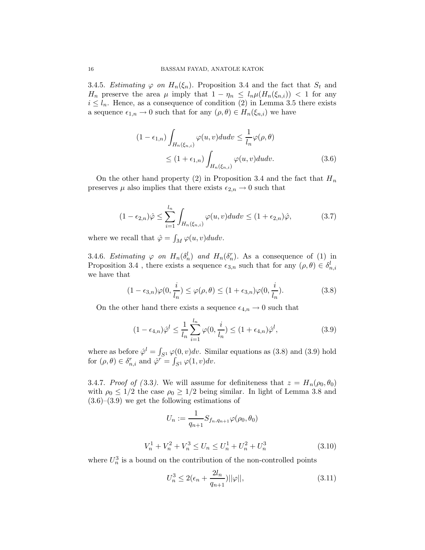3.4.5. Estimating  $\varphi$  on  $H_n(\xi_n)$ . Proposition 3.4 and the fact that  $S_t$  and  $H_n$  preserve the area  $\mu$  imply that  $1 - \eta_n \leq l_n \mu(H_n(\xi_{n,i})) < 1$  for any  $i \leq l_n$ . Hence, as a consequence of condition (2) in Lemma 3.5 there exists a sequence  $\epsilon_{1,n} \to 0$  such that for any  $(\rho, \theta) \in H_n(\xi_{n,i})$  we have

$$
(1 - \epsilon_{1,n}) \int_{H_n(\xi_{n,i})} \varphi(u,v) du dv \leq \frac{1}{l_n} \varphi(\rho, \theta)
$$
  
 
$$
\leq (1 + \epsilon_{1,n}) \int_{H_n(\xi_{n,i})} \varphi(u,v) du dv.
$$
 (3.6)

On the other hand property (2) in Proposition 3.4 and the fact that  $H_n$ preserves  $\mu$  also implies that there exists  $\epsilon_{2,n} \to 0$  such that

$$
(1 - \epsilon_{2,n})\hat{\varphi} \le \sum_{i=1}^{l_n} \int_{H_n(\xi_{n,i})} \varphi(u,v) du dv \le (1 + \epsilon_{2,n})\hat{\varphi},\tag{3.7}
$$

where we recall that  $\hat{\varphi} = \int_M \varphi(u, v) du dv$ .

3.4.6. Estimating  $\varphi$  on  $H_n(\delta_n^l)$  and  $H_n(\delta_n^r)$ . As a consequence of (1) in Proposition 3.4 , there exists a sequence  $\epsilon_{3,n}$  such that for any  $(\rho, \theta) \in \delta_{n,i}^l$ we have that

$$
(1 - \epsilon_{3,n})\varphi(0, \frac{i}{l_n}) \le \varphi(\rho, \theta) \le (1 + \epsilon_{3,n})\varphi(0, \frac{i}{l_n}).
$$
\n(3.8)

On the other hand there exists a sequence  $\epsilon_{4,n} \to 0$  such that

$$
(1 - \epsilon_{4,n})\hat{\varphi}^l \le \frac{1}{l_n} \sum_{i=1}^{l_n} \varphi(0, \frac{i}{l_n}) \le (1 + \epsilon_{4,n})\hat{\varphi}^l,
$$
\n(3.9)

where as before  $\hat{\varphi}^l = \int_{S^1} \varphi(0, v) dv$ . Similar equations as (3.8) and (3.9) hold for  $(\rho, \theta) \in \delta_{n,i}^r$  and  $\hat{\varphi}^r = \int_{S^1} \varphi(1, v) dv$ .

3.4.7. Proof of (3.3). We will assume for definiteness that  $z = H_n(\rho_0, \theta_0)$ with  $\rho_0 \leq 1/2$  the case  $\rho_0 \geq 1/2$  being similar. In light of Lemma 3.8 and (3.6)–(3.9) we get the following estimations of

$$
U_n := \frac{1}{q_{n+1}} S_{f_n, q_{n+1}} \varphi(\rho_0, \theta_0)
$$

$$
V_n^1 + V_n^2 + V_n^3 \le U_n \le U_n^1 + U_n^2 + U_n^3 \tag{3.10}
$$

where  $U_n^3$  is a bound on the contribution of the non-controlled points

$$
U_n^3 \le 2(\epsilon_n + \frac{2l_n}{q_{n+1}})||\varphi||,\t\t(3.11)
$$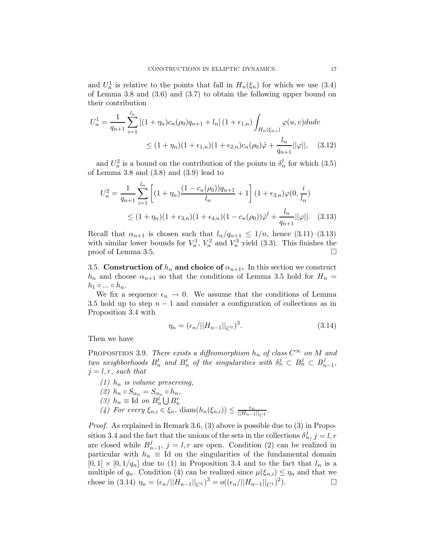and  $U_n^1$  is relative to the points that fall in  $H_n(\xi_n)$  for which we use (3.4) of Lemma 3.8 and (3.6) and (3.7) to obtain the following upper bound on their contribution

$$
U_n^1 = \frac{1}{q_{n+1}} \sum_{i=1}^{l_n} \left[ (1 + \eta_n) c_n(\rho_0) q_{n+1} + l_n \right] (1 + \epsilon_{1,n}) \int_{H_n(\xi_{n,i})} \varphi(u, v) du dv
$$
  
 
$$
\leq (1 + \eta_n)(1 + \epsilon_{1,n})(1 + \epsilon_{2,n}) c_n(\rho_0) \hat{\varphi} + \frac{l_n}{q_{n+1}} ||\varphi||, \quad (3.12)
$$

and  $U_n^2$  is a bound on the contribution of the points in  $\delta_n^l$  for which (3.5) of Lemma 3.8 and (3.8) and (3.9) lead to

$$
U_n^2 = \frac{1}{q_{n+1}} \sum_{i=1}^{l_n} \left[ (1 + \eta_n) \frac{(1 - c_n(\rho_0))q_{n+1}}{l_n} + 1 \right] (1 + \epsilon_{3,n}) \varphi(0, \frac{i}{l_n})
$$
  
 
$$
\leq (1 + \eta_n)(1 + \epsilon_{3,n})(1 + \epsilon_{4,n})(1 - c_n(\rho_0)) \hat{\varphi}^l + \frac{l_n}{q_{n+1}} ||\varphi||. \quad (3.13)
$$

Recall that  $\alpha_{n+1}$  is chosen such that  $l_n/q_{n+1} \leq 1/n$ , hence  $(3.11)-(3.13)$ with similar lower bounds for  $V_n^1$ ,  $V_n^2$  and  $V_n^3$  yield (3.3). This finishes the proof of Lemma 3.5.

3.5. Construction of  $h_n$  and choice of  $\alpha_{n+1}$ . In this section we construct  $h_n$  and choose  $\alpha_{n+1}$  so that the conditions of Lemma 3.5 hold for  $H_n =$  $h_1 \circ \ldots \circ h_n$ .

We fix a sequence  $\epsilon_n \to 0$ . We assume that the conditions of Lemma 3.5 hold up to step  $n-1$  and consider a configuration of collections as in Proposition 3.4 with

$$
\eta_n = (\epsilon_n / ||H_{n-1}||_{C^1})^3. \tag{3.14}
$$

Then we have

PROPOSITION 3.9. There exists a diffeomorphism  $h_n$  of class  $C^{\infty}$  on M and two neighborhoods  $B_n^l$  and  $B_n^r$  of the singularities with  $\delta_n^j \subset B_n^j \subset B_n^j$  $\frac{j}{n-1}$  $j = l, r$ , such that

(1)  $h_n$  is volume preserving. (2)  $h_n \circ S_{\alpha_n} = S_{\alpha_n} \circ h_n,$ (3)  $h_n \equiv \text{Id}$  on  $B_n^l \bigcup B_n^r$ (4) For every  $\xi_{n,i} \in \xi_n$ , diam $(h_n(\xi_{n,i})) \leq \frac{\epsilon_n}{\|H_{n-1}\|}$  $\frac{\epsilon_n}{\left\|H_{n-1}\right\|_{C^1}}$ .

Proof. As explained in Remark 3.6, (3) above is possible due to (3) in Proposition 3.4 and the fact that the unions of the sets in the collections  $\delta_n^j$ ,  $j = l, r$ are closed while  $B_n^j$  $_{n-1}^{j}$ ,  $j = l, r$  are open. Condition (2) can be realized in particular with  $h_n \equiv$  Id on the singularities of the fundamental domain  $[0, 1] \times [0, 1/q_n]$  due to (1) in Proposition 3.4 and to the fact that  $l_n$  is a multiple of  $q_n$ . Condition (4) can be realized since  $\mu(\xi_{n,i}) \leq \eta_n$  and that we chose in (3.14)  $\eta_n = (\epsilon_n/||H_{n-1}||_{C^1})^3 = o((\epsilon_n/||H_{n-1}||_{C^1})^2)$  $\Box$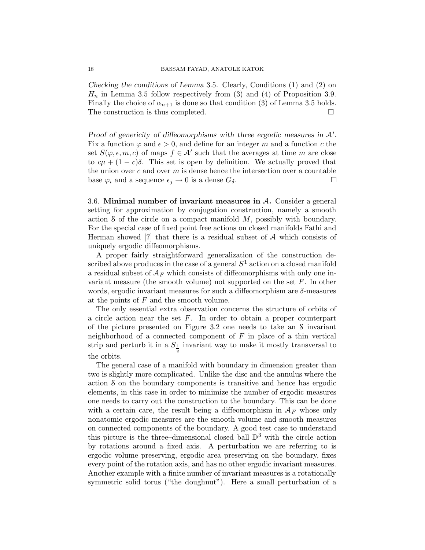Checking the conditions of Lemma 3.5. Clearly, Conditions (1) and (2) on  $H_n$  in Lemma 3.5 follow respectively from (3) and (4) of Proposition 3.9. Finally the choice of  $\alpha_{n+1}$  is done so that condition (3) of Lemma 3.5 holds. The construction is thus completed.  $\square$ 

Proof of genericity of diffeomorphisms with three ergodic measures in  $A'$ . Fix a function  $\varphi$  and  $\epsilon > 0$ , and define for an integer m and a function c the set  $S(\varphi, \epsilon, m, c)$  of maps  $f \in A'$  such that the averages at time m are close to  $c\mu + (1 - c)\delta$ . This set is open by definition. We actually proved that the union over  $c$  and over  $m$  is dense hence the intersection over a countable base  $\varphi_i$  and a sequence  $\epsilon_j \to 0$  is a dense  $G_\delta$ .

3.6. Minimal number of invariant measures in A. Consider a general setting for approximation by conjugation construction, namely a smooth action S of the circle on a compact manifold  $M$ , possibly with boundary. For the special case of fixed point free actions on closed manifolds Fathi and Herman showed [7] that there is a residual subset of A which consists of uniquely ergodic diffeomorphisms.

A proper fairly straightforward generalization of the construction described above produces in the case of a general  $S^1$  action on a closed manifold a residual subset of  $A_F$  which consists of diffeomorphisms with only one invariant measure (the smooth volume) not supported on the set  $F$ . In other words, ergodic invariant measures for such a diffeomorphism are  $\delta$ -measures at the points of F and the smooth volume.

The only essential extra observation concerns the structure of orbits of a circle action near the set  $F$ . In order to obtain a proper counterpart of the picture presented on Figure 3.2 one needs to take an S invariant neighborhood of a connected component of  $F$  in place of a thin vertical strip and perturb it in a  $S_{\frac{1}{q}}$  invariant way to make it mostly transversal to the orbits.

The general case of a manifold with boundary in dimension greater than two is slightly more complicated. Unlike the disc and the annulus where the action S on the boundary components is transitive and hence has ergodic elements, in this case in order to minimize the number of ergodic measures one needs to carry out the construction to the boundary. This can be done with a certain care, the result being a diffeomorphism in  $A_F$  whose only nonatomic ergodic measures are the smooth volume and smooth measures on connected components of the boundary. A good test case to understand this picture is the three–dimensional closed ball  $\mathbb{D}^3$  with the circle action by rotations around a fixed axis. A perturbation we are referring to is ergodic volume preserving, ergodic area preserving on the boundary, fixes every point of the rotation axis, and has no other ergodic invariant measures. Another example with a finite number of invariant measures is a rotationally symmetric solid torus ("the doughnut"). Here a small perturbation of a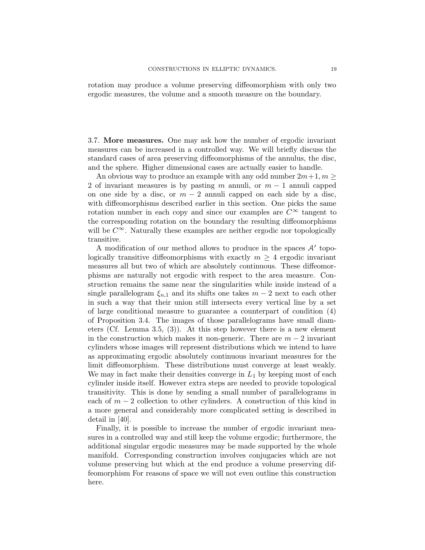rotation may produce a volume preserving diffeomorphism with only two ergodic measures, the volume and a smooth measure on the boundary.

3.7. More measures. One may ask how the number of ergodic invariant measures can be increased in a controlled way. We will briefly discuss the standard cases of area preserving diffeomorphisms of the annulus, the disc, and the sphere. Higher dimensional cases are actually easier to handle.

An obvious way to produce an example with any odd number  $2m+1, m \geq 1$ 2 of invariant measures is by pasting m annuli, or  $m-1$  annuli capped on one side by a disc, or  $m - 2$  annuli capped on each side by a disc, with diffeomorphisms described earlier in this section. One picks the same rotation number in each copy and since our examples are  $C^{\infty}$  tangent to the corresponding rotation on the boundary the resulting diffeomorphisms will be  $C^{\infty}$ . Naturally these examples are neither ergodic nor topologically transitive.

A modification of our method allows to produce in the spaces  $A'$  topologically transitive diffeomorphisms with exactly  $m \geq 4$  ergodic invariant measures all but two of which are absolutely continuous. These diffeomorphisms are naturally not ergodic with respect to the area measure. Construction remains the same near the singularities while inside instead of a single parallelogram  $\xi_{n,1}$  and its shifts one takes  $m-2$  next to each other in such a way that their union still intersects every vertical line by a set of large conditional measure to guarantee a counterpart of condition (4) of Proposition 3.4. The images of those parallelograms have small diameters (Cf. Lemma 3.5, (3)). At this step however there is a new element in the construction which makes it non-generic. There are  $m-2$  invariant cylinders whose images will represent distributions which we intend to have as approximating ergodic absolutely continuous invariant measures for the limit diffeomorphism. These distributions must converge at least weakly. We may in fact make their densities converge in  $L_1$  by keeping most of each cylinder inside itself. However extra steps are needed to provide topological transitivity. This is done by sending a small number of parallelograms in each of  $m-2$  collection to other cylinders. A construction of this kind in a more general and considerably more complicated setting is described in detail in [40].

Finally, it is possible to increase the number of ergodic invariant measures in a controlled way and still keep the volume ergodic; furthermore, the additional singular ergodic measures may be made supported by the whole manifold. Corresponding construction involves conjugacies which are not volume preserving but which at the end produce a volume preserving diffeomorphism For reasons of space we will not even outline this construction here.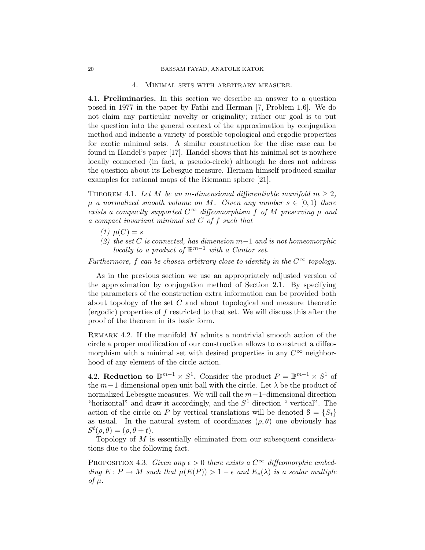#### 4. Minimal sets with arbitrary measure.

4.1. Preliminaries. In this section we describe an answer to a question posed in 1977 in the paper by Fathi and Herman [7, Problem 1.6]. We do not claim any particular novelty or originality; rather our goal is to put the question into the general context of the approximation by conjugation method and indicate a variety of possible topological and ergodic properties for exotic minimal sets. A similar construction for the disc case can be found in Handel's paper [17]. Handel shows that his minimal set is nowhere locally connected (in fact, a pseudo-circle) although he does not address the question about its Lebesgue measure. Herman himself produced similar examples for rational maps of the Riemann sphere [21].

THEOREM 4.1. Let M be an m-dimensional differentiable manifold  $m \geq 2$ ,  $\mu$  a normalized smooth volume on M. Given any number  $s \in [0,1)$  there exists a compactly supported  $C^{\infty}$  diffeomorphism f of M preserving  $\mu$  and a compact invariant minimal set C of f such that

- (1)  $\mu(C) = s$
- (2) the set C is connected, has dimension  $m-1$  and is not homeomorphic locally to a product of  $\mathbb{R}^{m-1}$  with a Cantor set.

Furthermore, f can be chosen arbitrary close to identity in the  $C^{\infty}$  topology.

As in the previous section we use an appropriately adjusted version of the approximation by conjugation method of Section 2.1. By specifying the parameters of the construction extra information can be provided both about topology of the set C and about topological and measure–theoretic (ergodic) properties of f restricted to that set. We will discuss this after the proof of the theorem in its basic form.

REMARK 4.2. If the manifold  $M$  admits a nontrivial smooth action of the circle a proper modification of our construction allows to construct a diffeomorphism with a minimal set with desired properties in any  $C^{\infty}$  neighborhood of any element of the circle action.

4.2. Reduction to  $\mathbb{D}^{m-1} \times S^1$ . Consider the product  $P = \mathbb{B}^{m-1} \times S^1$  of the  $m-1$ -dimensional open unit ball with the circle. Let  $\lambda$  be the product of normalized Lebesgue measures. We will call the  $m-1$ –dimensional direction "horizontal" and draw it accordingly, and the  $S<sup>1</sup>$  direction " vertical". The action of the circle on P by vertical translations will be denoted  $S = \{S_t\}$ as usual. In the natural system of coordinates  $(\rho, \theta)$  one obviously has  $S^t(\rho, \theta) = (\rho, \theta + t).$ 

Topology of M is essentially eliminated from our subsequent considerations due to the following fact.

PROPOSITION 4.3. Given any  $\epsilon > 0$  there exists a  $C^{\infty}$  diffeomorphic embedding  $E: P \to M$  such that  $\mu(E(P)) > 1 - \epsilon$  and  $E_*(\lambda)$  is a scalar multiple of  $\mu$ .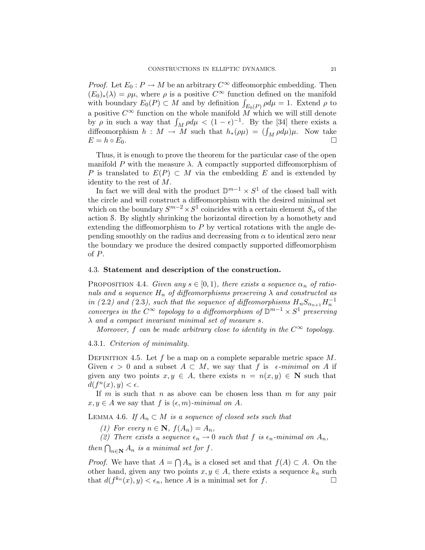*Proof.* Let  $E_0: P \to M$  be an arbitrary  $C^{\infty}$  diffeomorphic embedding. Then  $(E_0)_*(\lambda) = \rho \mu$ , where  $\rho$  is a positive  $C^{\infty}$  function defined on the manifold with boundary  $E_0(P) \subset M$  and by definition  $\int_{E_0(P)} \rho d\mu = 1$ . Extend  $\rho$  to a positive  $C^{\infty}$  function on the whole manifold  $\overline{M}$  which we will still denote by  $\rho$  in such a way that  $\int_M \rho d\mu < (1 - \epsilon)^{-1}$ . By the [34] there exists a diffeomorphism  $h : M \to M$  such that  $h_*(\rho \mu) = (\int_M \rho d\mu) \mu$ . Now take  $E = h \circ E_0.$ 

Thus, it is enough to prove the theorem for the particular case of the open manifold P with the measure  $\lambda$ . A compactly supported diffeomorphism of P is translated to  $E(P) \subset M$  via the embedding E and is extended by identity to the rest of M.

In fact we will deal with the product  $\mathbb{D}^{m-1} \times S^1$  of the closed ball with the circle and will construct a diffeomorphism with the desired minimal set which on the boundary  $S^{m-2} \times S^1$  coincides with a certain element  $S_\alpha$  of the action S. By slightly shrinking the horizontal direction by a homothety and extending the diffeomorphism to P by vertical rotations with the angle depending smoothly on the radius and decreasing from  $\alpha$  to identical zero near the boundary we produce the desired compactly supported diffeomorphism of P.

#### 4.3. Statement and description of the construction.

PROPOSITION 4.4. Given any  $s \in [0,1)$ , there exists a sequence  $\alpha_n$  of rationals and a sequence  $H_n$  of diffeomorphisms preserving  $\lambda$  and constructed as in (2.2) and (2.3), such that the sequence of diffeomorphisms  $H_nS_{\alpha_{n+1}}H_n^{-1}$ converges in the  $C^{\infty}$  topology to a diffeomorphism of  $\mathbb{D}^{m-1} \times S^1$  preserving λ and a compact invariant minimal set of measure s.

Moreover, f can be made arbitrary close to identity in the  $C^{\infty}$  topology.

4.3.1. Criterion of minimality.

DEFINITION 4.5. Let  $f$  be a map on a complete separable metric space  $M$ . Given  $\epsilon > 0$  and a subset  $A \subset M$ , we say that f is  $\epsilon$ -minimal on A if given any two points  $x, y \in A$ , there exists  $n = n(x, y) \in \mathbb{N}$  such that  $d(f^n(x), y) < \epsilon.$ 

If m is such that n as above can be chosen less than m for any pair  $x, y \in A$  we say that f is  $(\epsilon, m)$ -minimal on A.

LEMMA 4.6. If  $A_n \subset M$  is a sequence of closed sets such that

(1) For every  $n \in \mathbb{N}$ ,  $f(A_n) = A_n$ ,

(2) There exists a sequence  $\epsilon_n \to 0$  such that f is  $\epsilon_n$ -minimal on  $A_n$ ,

then  $\bigcap_{n\in\mathbf{N}} A_n$  is a minimal set for f.

*Proof.* We have that  $A = \bigcap A_n$  is a closed set and that  $f(A) \subset A$ . On the other hand, given any two points  $x, y \in A$ , there exists a sequence  $k_n$  such that  $d(f^{k_n}(x), y) < \epsilon_n$ , hence A is a minimal set for f. that  $d(f^{k_n}(x), y) < \epsilon_n$ , hence A is a minimal set for f.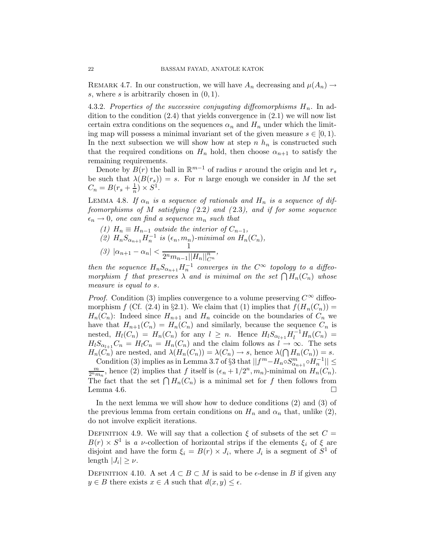REMARK 4.7. In our construction, we will have  $A_n$  decreasing and  $\mu(A_n) \rightarrow$ s, where s is arbitrarily chosen in  $(0, 1)$ .

4.3.2. Properties of the successive conjugating diffeomorphisms  $H_n$ . In addition to the condition  $(2.4)$  that yields convergence in  $(2.1)$  we will now list certain extra conditions on the sequences  $\alpha_n$  and  $H_n$  under which the limiting map will possess a minimal invariant set of the given measure  $s \in [0,1)$ . In the next subsection we will show how at step  $n \, h_n$  is constructed such that the required conditions on  $H_n$  hold, then choose  $\alpha_{n+1}$  to satisfy the remaining requirements.

Denote by  $B(r)$  the ball in  $\mathbb{R}^{m-1}$  of radius r around the origin and let  $r_s$ be such that  $\lambda(B(r_s)) = s$ . For *n* large enough we consider in M the set  $C_n = B(r_s + \frac{1}{n}) \times S^1$ .

LEMMA 4.8. If  $\alpha_n$  is a sequence of rationals and  $H_n$  is a sequence of diffeomorphisms of  $M$  satisfying  $(2.2)$  and  $(2.3)$ , and if for some sequence  $\epsilon_n \to 0$ , one can find a sequence  $m_n$  such that

(1)  $H_n \equiv H_{n-1}$  outside the interior of  $C_{n-1}$ , (2)  $H_n S_{\alpha_{n+1}} H_n^{-1}$  is  $(\epsilon_n, m_n)$ -minimal on  $H_n(C_n)$ , (3)  $|\alpha_{n+1} - \alpha_n| < \frac{1}{2^n m_{n-1}}$  $2^n m_{n-1} ||H_n||_{C^n}^n$ ,

then the sequence  $H_n S_{\alpha_{n+1}} H_n^{-1}$  converges in the  $C^{\infty}$  topology to a diffeomorphism f that preserves  $\lambda$  and is minimal on the set  $\bigcap H_n(C_n)$  whose measure is equal to s.

*Proof.* Condition (3) implies convergence to a volume preserving  $C^{\infty}$  diffeomorphism f (Cf. (2.4) in §2.1). We claim that (1) implies that  $f(H_n(C_n)) =$  $H_n(C_n)$ : Indeed since  $H_{n+1}$  and  $H_n$  coincide on the boundaries of  $C_n$  we have that  $H_{n+1}(C_n) = H_n(C_n)$  and similarly, because the sequence  $C_n$  is nested,  $H_l(C_n) = H_n(C_n)$  for any  $l \geq n$ . Hence  $H_l S_{\alpha_{l+1}} H_l^{-1} H_n(C_n) =$  $H_lS_{\alpha_{l+1}}C_n = H_lC_n = H_n(C_n)$  and the claim follows as  $l \to \infty$ . The sets  $H_n(C_n)$  are nested, and  $\lambda(H_n(C_n)) = \lambda(C_n) \to s$ , hence  $\lambda(\bigcap H_n(C_n)) = s$ .

Condition (3) implies as in Lemma 3.7 of §3 that  $||f^m - H_n \circ S_{\alpha_{n+1}}^m \circ H_n^{-1}|| \le$ m  $\frac{m}{2^n m_n}$ , hence (2) implies that f itself is  $(\epsilon_n + 1/2^n, m_n)$ -minimal on  $H_n(C_n)$ . The fact that the set  $\bigcap H_n(C_n)$  is a minimal set for f then follows from Lemma 4.6.  $\Box$ 

In the next lemma we will show how to deduce conditions (2) and (3) of the previous lemma from certain conditions on  $H_n$  and  $\alpha_n$  that, unlike (2), do not involve explicit iterations.

DEFINITION 4.9. We will say that a collection  $\xi$  of subsets of the set  $C =$  $B(r) \times S^1$  is a *v*-collection of horizontal strips if the elements  $\xi_i$  of  $\xi$  are disjoint and have the form  $\xi_i = B(r) \times J_i$ , where  $J_i$  is a segment of  $S^1$  of length  $|J_i| \geq \nu$ .

DEFINITION 4.10. A set  $A \subset B \subset M$  is said to be  $\epsilon$ -dense in B if given any  $y \in B$  there exists  $x \in A$  such that  $d(x, y) \leq \epsilon$ .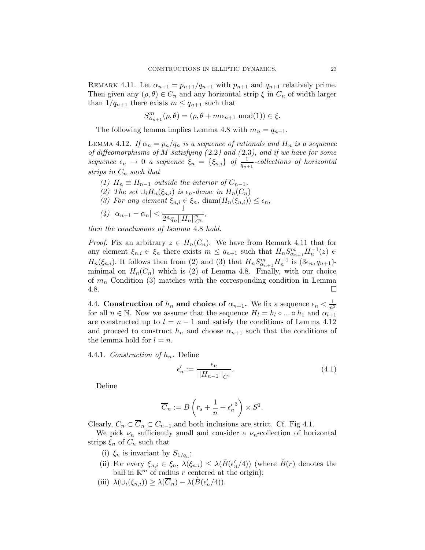REMARK 4.11. Let  $\alpha_{n+1} = p_{n+1}/q_{n+1}$  with  $p_{n+1}$  and  $q_{n+1}$  relatively prime. Then given any  $(\rho, \theta) \in C_n$  and any horizontal strip  $\xi$  in  $C_n$  of width larger than  $1/q_{n+1}$  there exists  $m \leq q_{n+1}$  such that

$$
S_{\alpha_{n+1}}^m(\rho,\theta)=(\rho,\theta+m\alpha_{n+1}\text{ mod}(1))\in\xi.
$$

The following lemma implies Lemma 4.8 with  $m_n = q_{n+1}$ .

LEMMA 4.12. If  $\alpha_n = p_n/q_n$  is a sequence of rationals and  $H_n$  is a sequence of diffeomorphisms of M satisfying  $(2.2)$  and  $(2.3)$ , and if we have for some sequence  $\epsilon_n \to 0$  a sequence  $\xi_n = {\xi_{n,i}}$  of  $\frac{1}{q_{n+1}}$ -collections of horizontal strips in  $C_n$  such that

\n- (1) 
$$
H_n \equiv H_{n-1}
$$
 outside the interior of  $C_{n-1}$ ,
\n- (2) The set  $\cup_i H_n(\xi_{n,i})$  is  $\epsilon_n$ -dense in  $H_n(C_n)$
\n- (3) For any element  $\xi_{n,i} \in \xi_n$ ,  $\text{diam}(H_n(\xi_{n,i})) \leq \epsilon_n$ ,
\n- (4)  $|\alpha_{n+1} - \alpha_n| < \frac{1}{2^n q_n \|H_n\|_{C^n}^n}$ ,
\n

then the conclusions of Lemma 4.8 hold.

*Proof.* Fix an arbitrary  $z \in H_n(C_n)$ . We have from Remark 4.11 that for any element  $\xi_{n,i} \in \xi_n$  there exists  $m \leq q_{n+1}$  such that  $H_n S_{\alpha_{n+1}}^m H_n^{-1}(z) \in$  $H_n(\xi_{n,i})$ . It follows then from (2) and (3) that  $H_n S^m_{\alpha_{n+1}} H_n^{-1}$  is  $(3\epsilon_n, q_{n+1})$ minimal on  $H_n(C_n)$  which is (2) of Lemma 4.8. Finally, with our choice of  $m_n$  Condition (3) matches with the corresponding condition in Lemma  $4.8.$ 

4.4. Construction of  $h_n$  and choice of  $\alpha_{n+1}$ . We fix a sequence  $\epsilon_n < \frac{1}{n^3}$ for all  $n \in \mathbb{N}$ . Now we assume that the sequence  $H_l = h_l \circ ... \circ h_1$  and  $\alpha_{l+1}$ are constructed up to  $l = n - 1$  and satisfy the conditions of Lemma 4.12 and proceed to construct  $h_n$  and choose  $\alpha_{n+1}$  such that the conditions of the lemma hold for  $l = n$ .

4.4.1. Construction of  $h_n$ . Define

$$
\epsilon'_n := \frac{\epsilon_n}{||H_{n-1}||_{C^1}}.\tag{4.1}
$$

Define

$$
\overline{C}_n:=B\left(r_s+\frac{1}{n}+{\epsilon_n'}^3\right)\times S^1.
$$

Clearly,  $C_n \subset \overline{C}_n \subset C_{n-1}$ , and both inclusions are strict. Cf. Fig 4.1.

We pick  $\nu_n$  sufficiently small and consider a  $\nu_n$ -collection of horizontal strips  $\xi_n$  of  $C_n$  such that

- (i)  $\xi_n$  is invariant by  $S_{1/q_n}$ ;
- (ii) For every  $\xi_{n,i} \in \xi_n$ ,  $\lambda(\xi_{n,i}) \leq \lambda(\tilde{B}(\epsilon'_n/4))$  (where  $\tilde{B}(r)$  denotes the ball in  $\mathbb{R}^m$  of radius r centered at the origin);
- (iii)  $\lambda(\cup_i(\xi_{n,i})) \geq \lambda(\overline{C}_n) \lambda(\tilde{B}(\epsilon'_n/4)).$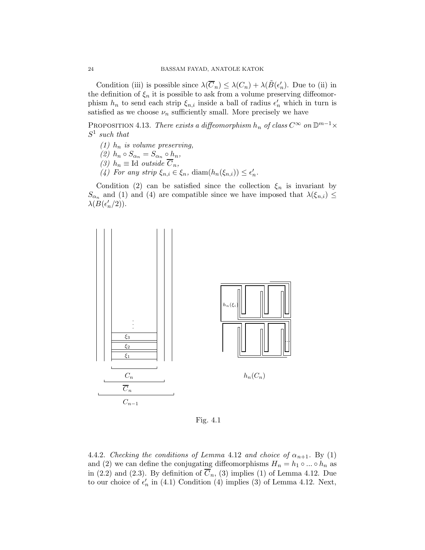Condition (iii) is possible since  $\lambda(\overline{C}_n) \leq \lambda(C_n) + \lambda(\tilde{B}(\epsilon'_n)$ . Due to (ii) in the definition of  $\xi_n$  it is possible to ask from a volume preserving diffeomorphism  $h_n$  to send each strip  $\xi_{n,i}$  inside a ball of radius  $\epsilon'_n$  which in turn is satisfied as we choose  $\nu_n$  sufficiently small. More precisely we have

PROPOSITION 4.13. There exists a diffeomorphism  $h_n$  of class  $C^{\infty}$  on  $\mathbb{D}^{m-1}\times$  $S^1$  such that

- (1)  $h_n$  is volume preserving,
- (2)  $h_n \circ S_{\alpha_n} = S_{\alpha_n} \circ h_n$ ,
- (3)  $h_n \equiv \text{Id}$  outside  $\overline{C}_n$ ,
- (4) For any strip  $\xi_{n,i} \in \xi_n$ ,  $\text{diam}(h_n(\xi_{n,i})) \leq \epsilon'_n$ .

Condition (2) can be satisfied since the collection  $\xi_n$  is invariant by  $S_{\alpha_n}$  and (1) and (4) are compatible since we have imposed that  $\lambda(\xi_{n,i}) \leq$  $\lambda(B(\epsilon_n'/2)).$ 



Fig. 4.1

4.4.2. Checking the conditions of Lemma 4.12 and choice of  $\alpha_{n+1}$ . By (1) and (2) we can define the conjugating diffeomorphisms  $H_n = h_1 \circ ... \circ h_n$  as in (2.2) and (2.3). By definition of  $\overline{C}_n$ , (3) implies (1) of Lemma 4.12. Due to our choice of  $\epsilon'_n$  in (4.1) Condition (4) implies (3) of Lemma 4.12. Next,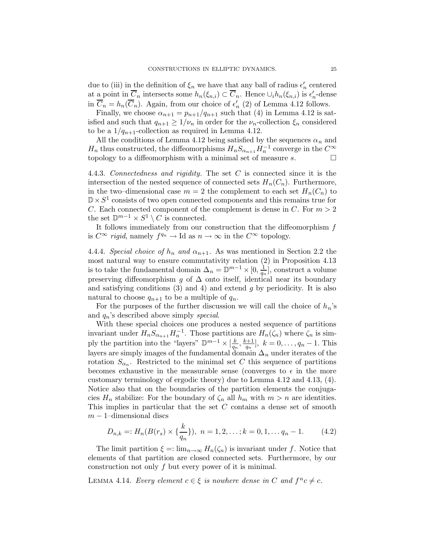due to (iii) in the definition of  $\xi_n$  we have that any ball of radius  $\epsilon'_n$  centered at <u>a</u> point in  $\overline{C}_n$  intersects some  $h_n(\xi_{n,i}) \subset \overline{C}_n$ . Hence  $\cup_i h_n(\xi_{n,i})$  is  $\epsilon'_n$ -dense in  $\overline{C}_n = h_n(\overline{C}_n)$ . Again, from our choice of  $\epsilon'_n$  (2) of Lemma 4.12 follows.

Finally, we choose  $\alpha_{n+1} = p_{n+1}/q_{n+1}$  such that (4) in Lemma 4.12 is satisfied and such that  $q_{n+1} \geq 1/\nu_n$  in order for the  $\nu_n$ -collection  $\xi_n$  considered to be a  $1/q_{n+1}$ -collection as required in Lemma 4.12.

All the conditions of Lemma 4.12 being satisfied by the sequences  $\alpha_n$  and  $H_n$  thus constructed, the diffeomorphisms  $H_nS_{\alpha_{n+1}}H_n^{-1}$  converge in the  $C^{\infty}$ topology to a diffeomorphism with a minimal set of measure  $s$ .  $\Box$ 

4.4.3. Connectedness and rigidity. The set C is connected since it is the intersection of the nested sequence of connected sets  $H_n(C_n)$ . Furthermore, in the two–dimensional case  $m = 2$  the complement to each set  $H_n(C_n)$  to  $\mathbb{D} \times S^1$  consists of two open connected components and this remains true for C. Each connected component of the complement is dense in C. For  $m > 2$ the set  $\mathbb{D}^{m-1} \times S^1 \setminus C$  is connected.

It follows immediately from our construction that the diffeomorphism  $f$ is  $C^{\infty}$  rigid, namely  $f^{q_n} \to \text{Id}$  as  $n \to \infty$  in the  $C^{\infty}$  topology.

4.4.4. Special choice of  $h_n$  and  $\alpha_{n+1}$ . As was mentioned in Section 2.2 the most natural way to ensure commutativity relation (2) in Proposition 4.13 is to take the fundamental domain  $\Delta_n = \mathbb{D}^{m-1} \times [0, \frac{1}{q_n}]$  $\frac{1}{q_n}$ , construct a volume preserving diffeomorphism g of  $\Delta$  onto itself, identical near its boundary and satisfying conditions  $(3)$  and  $4)$  and extend g by periodicity. It is also natural to choose  $q_{n+1}$  to be a multiple of  $q_n$ .

For the purposes of the further discussion we will call the choice of  $h_n$ 's and  $q_n$ 's described above simply special.

With these special choices one produces a nested sequence of partitions invariant under  $H_n S_{\alpha_{n+1}} H_n^{-1}$ . Those partitions are  $H_n(\zeta_n)$  where  $\zeta_n$  is simply the partition into the "layers"  $\mathbb{D}^{m-1} \times [\frac{k}{q_r}]$  $\frac{k}{q_n}, \frac{k+1}{q_n}$  $\frac{q_{n+1}}{q_n},\;k=0,\ldots,q_n-1.$  This layers are simply images of the fundamental domain  $\Delta_n$  under iterates of the rotation  $S_{\alpha_n}$ . Restricted to the minimal set C this sequence of partitions becomes exhaustive in the measurable sense (converges to  $\epsilon$  in the more customary terminology of ergodic theory) due to Lemma 4.12 and 4.13, (4). Notice also that on the boundaries of the partition elements the conjugacies  $H_n$  stabilize: For the boundary of  $\zeta_n$  all  $h_m$  with  $m > n$  are identities. This implies in particular that the set C contains a dense set of smooth  $m-1$ –dimensional discs

$$
D_{n,k} =: H_n(B(r_s) \times \{\frac{k}{q_n}\}), \ n = 1, 2, \dots; k = 0, 1, \dots q_n - 1. \tag{4.2}
$$

The limit partition  $\xi = \lim_{n \to \infty} H_n(\zeta_n)$  is invariant under f. Notice that elements of that partition are closed connected sets. Furthermore, by our construction not only f but every power of it is minimal.

LEMMA 4.14. Every element  $c \in \xi$  is nowhere dense in C and  $f^nc \neq c$ .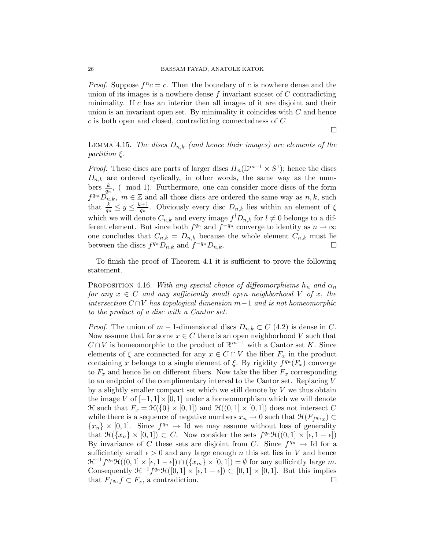*Proof.* Suppose  $f^n c = c$ . Then the boundary of c is nowhere dense and the union of its images is a nowhere dense f invariant sucset of  $C$  contradicting minimality. If  $c$  has an interior then all images of it are disjoint and their union is an invariant open set. By minimality it coincides with  $C$  and hence c is both open and closed, contradicting connectedness of C

 $\Box$ 

LEMMA 4.15. The discs  $D_{n,k}$  (and hence their images) are elements of the partition ξ.

*Proof.* These discs are parts of larger discs  $H_n(\mathbb{D}^{m-1} \times S^1)$ ; hence the discs  $D_{n,k}$  are ordered cyclically, in other words, the same way as the numbers  $\frac{k}{q_n}$ , (mod 1). Furthermore, one can consider more discs of the form  $f^{q_m}D_{n,k}^{\{m\}}$ ,  $m \in \mathbb{Z}$  and all those discs are ordered the same way as  $n, k$ , such that  $\frac{k}{q_n} \leq y \leq \frac{k+1}{q_n}$  $\frac{q_n+1}{q_n}$ . Obviously every disc  $D_{n,k}$  lies within an element of  $\xi$ which we will denote  $C_{n,k}$  and every image  $f^l D_{n,k}$  for  $l \neq 0$  belongs to a different element. But since both  $f^{q_n}$  and  $f^{-q_n}$  converge to identity as  $n \to \infty$ one concludes that  $C_{n,k} = D_{n,k}$  because the whole element  $C_{n,k}$  must lie between the discs  $f^{q_n}D_{n,k}$  and  $f^{-q_n}D_{n,k}$ .

To finish the proof of Theorem 4.1 it is sufficient to prove the following statement.

PROPOSITION 4.16. With any special choice of diffeomorphisms  $h_n$  and  $\alpha_n$ for any  $x \in C$  and any sufficiently small open neighborhood V of x, the intersection  $C ∩ V$  has topological dimension  $m-1$  and is not homeomorphic to the product of a disc with a Cantor set.

*Proof.* The union of  $m-1$ -dimensional discs  $D_{n,k} \subset C$  (4.2) is dense in C. Now assume that for some  $x \in C$  there is an open neighborhood V such that  $C \cap V$  is homeomorphic to the product of  $\mathbb{R}^{m-1}$  with a Cantor set K. Since elements of  $\xi$  are connected for any  $x \in C \cap V$  the fiber  $F_x$  in the product containing x belongs to a single element of  $\xi$ . By rigidity  $f^{q_n}(F_x)$  converge to  $F_x$  and hence lie on different fibers. Now take the fiber  $F_x$  corresponding to an endpoint of the complimentary interval to the Cantor set. Replacing V by a slightly smaller compact set which we still denote by  $V$  we thus obtain the image V of  $[-1, 1] \times [0, 1]$  under a homeomorphism which we will denote  $\mathcal H$  such that  $F_x = \mathcal H({0} \times [0,1])$  and  $\mathcal H((0,1] \times [0,1])$  does not intersect C while there is a sequence of negative numbers  $x_n \to 0$  such that  $\mathcal{H}(F_{f^{q_n}x}) \subset$  ${x_n} \times [0,1]$ . Since  $f^{q_n} \to \text{Id}$  we may assume without loss of generality that  $\mathcal{H}(\lbrace x_n \rbrace \times [0,1]) \subset C$ . Now consider the sets  $f^{q_n}\mathcal{H}((0,1] \times [\epsilon, 1-\epsilon])$ By invariance of C these sets are disjoint from C. Since  $f^{q_n} \to \text{Id}$  for a sufficintely small  $\epsilon > 0$  and any large enough n this set lies in V and hence  $\mathcal{H}^{-1}f^{q_n}\mathcal{H}((0,1]\times[\epsilon,1-\epsilon])\cap(\lbrace x_m\rbrace\times[0,1])=\emptyset$  for any sufficintly large m. Consequently  $\mathcal{H}^{-1}f^{q_n}\mathcal{H}([0,1]\times[\epsilon,1-\epsilon])\subset[0,1]\times[0,1].$  But this implies that  $F_{f^{q_n}}f \subset F_x$ , a contradiction.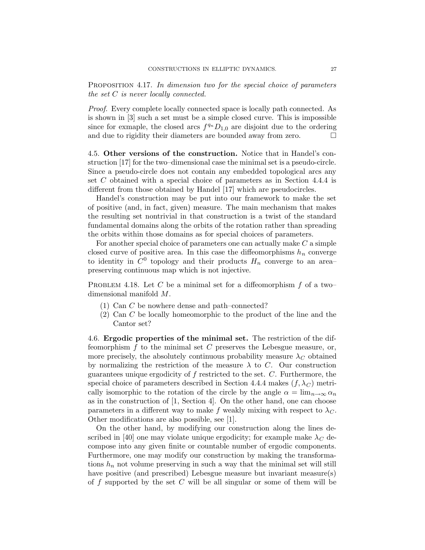PROPOSITION 4.17. In dimension two for the special choice of parameters the set  $C$  is never locally connected.

Proof. Every complete locally connected space is locally path connected. As is shown in [3] such a set must be a simple closed curve. This is impossible since for exmaple, the closed arcs  $f^{q_n}D_{1,0}$  are disjoint due to the ordering and due to rigidity their diameters are bounded away from zero.

4.5. Other versions of the construction. Notice that in Handel's construction [17] for the two–dimensional case the minimal set is a pseudo-circle. Since a pseudo-circle does not contain any embedded topological arcs any set C obtained with a special choice of parameters as in Section 4.4.4 is different from those obtained by Handel [17] which are pseudocircles.

Handel's construction may be put into our framework to make the set of positive (and, in fact, given) measure. The main mechanism that makes the resulting set nontrivial in that construction is a twist of the standard fundamental domains along the orbits of the rotation rather than spreading the orbits within those domains as for special choices of parameters.

For another special choice of parameters one can actually make C a simple closed curve of positive area. In this case the diffeomorphisms  $h_n$  converge to identity in  $C^0$  topology and their products  $H_n$  converge to an area– preserving continuous map which is not injective.

PROBLEM 4.18. Let C be a minimal set for a diffeomorphism  $f$  of a two– dimensional manifold M.

- (1) Can C be nowhere dense and path–connected?
- (2) Can C be locally homeomorphic to the product of the line and the Cantor set?

4.6. Ergodic properties of the minimal set. The restriction of the diffeomorphism  $f$  to the minimal set  $C$  preserves the Lebesgue measure, or, more precisely, the absolutely continuous probability measure  $\lambda_C$  obtained by normalizing the restriction of the measure  $\lambda$  to C. Our construction guarantees unique ergodicity of  $f$  restricted to the set.  $C$ . Furthermore, the special choice of parameters described in Section 4.4.4 makes  $(f, \lambda_C)$  metrically isomorphic to the rotation of the circle by the angle  $\alpha = \lim_{n\to\infty} \alpha_n$ as in the construction of [1, Section 4]. On the other hand, one can choose parameters in a different way to make f weakly mixing with respect to  $\lambda_C$ . Other modifications are also possible, see [1].

On the other hand, by modifying our construction along the lines described in [40] one may violate unique ergodicity; for example make  $\lambda_C$  decompose into any given finite or countable number of ergodic components. Furthermore, one may modify our construction by making the transformations  $h_n$  not volume preserving in such a way that the minimal set will still have positive (and prescribed) Lebesgue measure but invariant measure(s) of f supported by the set  $C$  will be all singular or some of them will be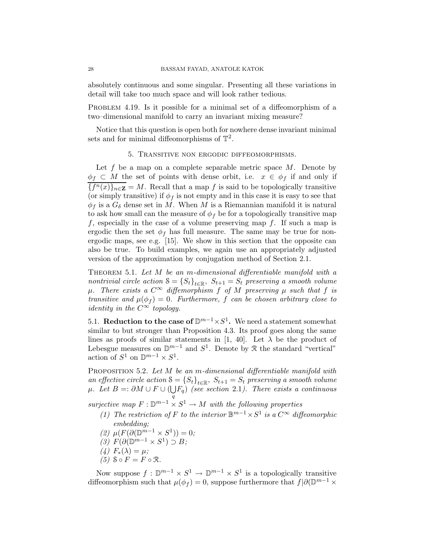absolutely continuous and some singular. Presenting all these variations in detail will take too much space and will look rather tedious.

PROBLEM 4.19. Is it possible for a minimal set of a diffeomorphism of a two–dimensional manifold to carry an invariant mixing measure?

Notice that this question is open both for nowhere dense invariant minimal sets and for minimal diffeomorphisms of  $\mathbb{T}^2$ .

#### 5. Transitive non ergodic diffeomorphisms.

Let f be a map on a complete separable metric space  $M$ . Denote by  $\phi_f \subset M$  the set of points with dense orbit, i.e.  $x \in \phi_f$  if and only if  ${f^n(x)}_{{n \in \mathbf{Z}}} = M$ . Recall that a map f is said to be topologically transitive (or simply transitive) if  $\phi_f$  is not empty and in this case it is easy to see that  $\phi_f$  is a  $G_\delta$  dense set in M. When M is a Riemannian manifold it is natural to ask how small can the measure of  $\phi_f$  be for a topologically transitive map f, especially in the case of a volume preserving map f. If such a map is ergodic then the set  $\phi_f$  has full measure. The same may be true for nonergodic maps, see e.g. [15]. We show in this section that the opposite can also be true. To build examples, we again use an appropriately adjusted version of the approximation by conjugation method of Section 2.1.

THEOREM 5.1. Let  $M$  be an m-dimensional differentiable manifold with a nontrivial circle action  $S = \{S_t\}_{t \in \mathbb{R}}$ ,  $S_{t+1} = S_t$  preserving a smooth volume  $\mu$ . There exists a  $C^{\infty}$  diffemorphism f of M preserving  $\mu$  such that f is transitive and  $\mu(\phi_f) = 0$ . Furthermore, f can be chosen arbitrary close to identity in the  $C^{\infty}$  topology.

5.1. Reduction to the case of  $\mathbb{D}^{m-1} \times S^1$ . We need a statement somewhat similar to but stronger than Proposition 4.3. Its proof goes along the same lines as proofs of similar statements in [1, 40]. Let  $\lambda$  be the product of Lebesgue measures on  $\mathbb{D}^{m-1}$  and  $S^1$ . Denote by R the standard "vertical" action of  $S^1$  on  $\mathbb{D}^{m-1} \times S^1$ .

PROPOSITION 5.2. Let M be an m-dimensional differentiable manifold with an effective circle action  $S = \{S_t\}_{t \in \mathbb{R}}$ ,  $S_{t+1} = S_t$  preserving a smooth volume  $\mu$ . Let  $B =: \partial M \cup F \cup (\bigcup F_q)$  (see section 2.1). There exists a continuous q

surjective map  $F: \mathbb{D}^{m-1} \times S^1 \to M$  with the following properties

- (1) The restriction of F to the interior  $\mathbb{B}^{m-1} \times S^1$  is a  $C^{\infty}$  diffeomorphic embedding;
- (2)  $\mu(F(\partial(\mathbb{D}^{m-1}\times S^1))=0;$
- $(3)$   $F(\partial(\mathbb{D}^{m-1}\times S^1)\supset B;$
- (4)  $F_*(\lambda) = \mu$ ;
- $(5)$   $S \circ F = F \circ \mathcal{R}$ .

Now suppose  $f : \mathbb{D}^{m-1} \times S^1 \to \mathbb{D}^{m-1} \times S^1$  is a topologically transitive diffeomorphism such that  $\mu(\phi_f) = 0$ , suppose furthermore that  $f | \partial (\mathbb{D}^{m-1} \times$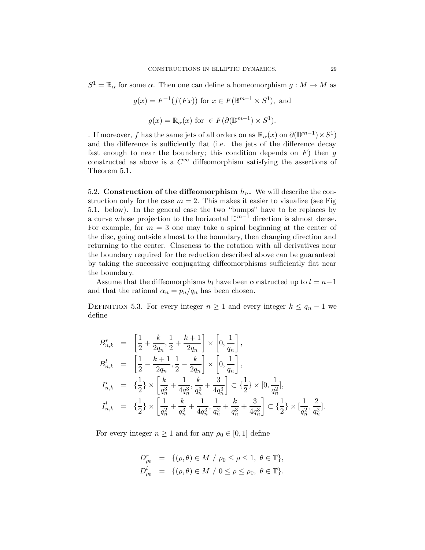$S^1 = \mathbb{R}_{\alpha}$  for some  $\alpha$ . Then one can define a homeomorphism  $g : M \to M$  as

$$
g(x) = F^{-1}(f(Fx))
$$
 for  $x \in F(\mathbb{B}^{m-1} \times S^1)$ , and  
 $g(x) = \mathbb{R}_{\alpha}(x)$  for  $\in F(\partial(\mathbb{D}^{m-1}) \times S^1)$ .

. If moreover, f has the same jets of all orders on as  $\mathbb{R}_\alpha(x)$  on  $\partial(\mathbb{D}^{m-1}) \times S^1$ and the difference is sufficiently flat (i.e. the jets of the difference decay fast enough to near the boundary; this condition depends on  $F$ ) then  $g$ constructed as above is a  $C^{\infty}$  diffeomorphism satisfying the assertions of Theorem 5.1.

5.2. Construction of the diffeomorphism  $h_n$ . We will describe the construction only for the case  $m = 2$ . This makes it easier to visualize (see Fig. 5.1. below). In the general case the two "bumps" have to be replaces by a curve whose projection to the horizontal  $\mathbb{D}^{m-1}$  direction is almost dense. For example, for  $m = 3$  one may take a spiral beginning at the center of the disc, going outside almost to the boundary, then changing direction and returning to the center. Closeness to the rotation with all derivatives near the boundary required for the reduction described above can be guaranteed by taking the successive conjugating diffeomorphisms sufficiently flat near the boundary.

Assume that the diffeomorphisms  $h_l$  have been constructed up to  $l = n-1$ and that the rational  $\alpha_n = p_n/q_n$  has been chosen.

DEFINITION 5.3. For every integer  $n \geq 1$  and every integer  $k \leq q_n - 1$  we define

$$
\begin{array}{lll} B_{n,k}^r&=&\left[\frac{1}{2}+\frac{k}{2q_n},\frac{1}{2}+\frac{k+1}{2q_n}\right]\times\left[0,\frac{1}{q_n}\right],\\[2mm] B_{n,k}^l&=&\left[\frac{1}{2}-\frac{k+1}{2q_n},\frac{1}{2}-\frac{k}{2q_n}\right]\times\left[0,\frac{1}{q_n}\right],\\[2mm] I_{n,k}^r&=&\{\frac{1}{2}\}\times\left[\frac{k}{q_n^3}+\frac{1}{4q_n^3},\frac{k}{q_n^3}+\frac{3}{4q_n^3}\right]\subset\{\frac{1}{2}\}\times[0,\frac{1}{q_n^2}],\\[2mm] I_{n,k}^l&=&\{\frac{1}{2}\}\times\left[\frac{1}{q_n^2}+\frac{k}{q_n^3}+\frac{1}{4q_n^3},\frac{1}{q_n^2}+\frac{k}{q_n^3}+\frac{3}{4q_n^3}\right]\subset\{\frac{1}{2}\}\times[\frac{1}{q_n^2},\frac{2}{q_n^2}]. \end{array}
$$

For every integer  $n \geq 1$  and for any  $\rho_0 \in [0, 1]$  define

$$
D_{\rho_0}^r = \{ (\rho, \theta) \in M \ / \ \rho_0 \le \rho \le 1, \ \theta \in \mathbb{T} \},
$$
  

$$
D_{\rho_0}^l = \{ (\rho, \theta) \in M \ / \ 0 \le \rho \le \rho_0, \ \theta \in \mathbb{T} \}.
$$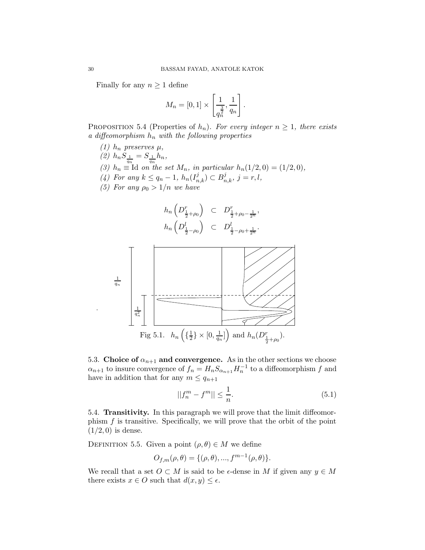Finally for any  $n \geq 1$  define

$$
M_n = [0,1] \times \left[\frac{1}{q_n^{\frac{3}{2}}}, \frac{1}{q_n}\right].
$$

PROPOSITION 5.4 (Properties of  $h_n$ ). For every integer  $n \geq 1$ , there exists a diffeomorphism  $h_n$  with the following properties

- (1)  $h_n$  preserves  $\mu$ ,
- (2)  $h_n S_{\frac{1}{q_n}} = S_{\frac{1}{q_n}} h_n,$
- (3)  $h_n \equiv$  Id on the set  $M_n$ , in particular  $h_n(1/2, 0) = (1/2, 0)$ ,
- (4) For any  $k \le q_n 1$ ,  $h_n(I_{n,k}^j) \subset B_{n,k}^j$ ,  $j = r, l$ ,
- (5) For any  $\rho_0 > 1/n$  we have





5.3. Choice of  $\alpha_{n+1}$  and convergence. As in the other sections we choose  $\alpha_{n+1}$  to insure convergence of  $f_n = H_n S_{\alpha_{n+1}} H_n^{-1}$  to a diffeomorphism f and have in addition that for any  $m \leq q_{n+1}$ 

$$
||f_n^m - f^m|| \le \frac{1}{n}.\tag{5.1}
$$

5.4. Transitivity. In this paragraph we will prove that the limit diffeomorphism f is transitive. Specifically, we will prove that the orbit of the point  $(1/2, 0)$  is dense.

DEFINITION 5.5. Given a point  $(\rho, \theta) \in M$  we define

$$
O_{f,m}(\rho,\theta) = \{(\rho,\theta), ..., f^{m-1}(\rho,\theta)\}.
$$

We recall that a set  $O \subset M$  is said to be  $\epsilon$ -dense in M if given any  $y \in M$ there exists  $x \in O$  such that  $d(x, y) \leq \epsilon$ .

.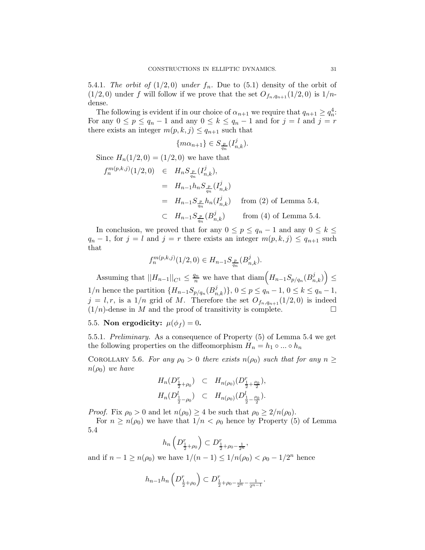5.4.1. The orbit of  $(1/2, 0)$  under  $f_n$ . Due to  $(5.1)$  density of the orbit of  $(1/2, 0)$  under f will follow if we prove that the set  $O_{f_n,q_{n+1}}(1/2, 0)$  is  $1/n$ dense.

The following is evident if in our choice of  $\alpha_{n+1}$  we require that  $q_{n+1} \geq q_n^4$ : For any  $0 \le p \le q_n - 1$  and any  $0 \le k \le q_n - 1$  and for  $j = l$  and  $j = r$ there exists an integer  $m(p, k, j) \leq q_{n+1}$  such that

$$
\{m\alpha_{n+1}\}\in S_{\frac{p}{q_n}}(I_{n,k}^j).
$$

Since  $H_n(1/2,0) = (1/2,0)$  we have that

$$
f_n^{m(p,k,j)}(1/2,0) \in H_n S_{\frac{p}{q_n}}(I_{n,k}^j),
$$
  
\n
$$
= H_{n-1} h_n S_{\frac{p}{q_n}}(I_{n,k}^j)
$$
  
\n
$$
= H_{n-1} S_{\frac{p}{q_n}} h_n(I_{n,k}^j) \quad \text{from (2) of Lemma 5.4,}
$$
  
\n
$$
\subset H_{n-1} S_{\frac{p}{q_n}}(B_{n,k}^j) \quad \text{from (4) of Lemma 5.4.}
$$

In conclusion, we proved that for any  $0 \le p \le q_n - 1$  and any  $0 \le k \le$  $q_n - 1$ , for  $j = l$  and  $j = r$  there exists an integer  $m(p, k, j) \leq q_{n+1}$  such that

$$
f_n^{m(p,k,j)}(1/2,0) \in H_{n-1}S_{\frac{p}{q_n}}(B_{n,k}^j).
$$

Assuming that  $||H_{n-1}||_{C^1} \leq \frac{q_n}{n}$  we have that  $\text{diam}\left(H_{n-1}S_{p/q_n}(B_{n,k}^j)\right) \leq$  $1/n$  hence the partition  $\{H_{n-1}S_{p/q_n}(B_{n,k}^j)\}, 0 \le p \le q_n - 1, 0 \le k \le q_n - 1,$  $j = l, r$ , is a  $1/n$  grid of M. Therefore the set  $O_{f_n,q_{n+1}}(1/2,0)$  is indeed  $(1/n)$ -dense in M and the proof of transitivity is complete.

5.5. Non ergodicity:  $\mu(\phi_f) = 0$ .

5.5.1. Preliminary. As a consequence of Property (5) of Lemma 5.4 we get the following properties on the diffeomorphism  $H_n = h_1 \circ ... \circ h_n$ 

COROLLARY 5.6. For any  $\rho_0 > 0$  there exists  $n(\rho_0)$  such that for any  $n \geq$  $n(\rho_0)$  we have

$$
H_n(D_{\frac{1}{2}+\rho_0}^r) \quad \subset \quad H_{n(\rho_0)}(D_{\frac{1}{2}+\frac{\rho_0}{2}}^r),
$$
  

$$
H_n(D_{\frac{1}{2}-\rho_0}^l) \quad \subset \quad H_{n(\rho_0)}(D_{\frac{1}{2}-\frac{\rho_0}{2}}^l).
$$

*Proof.* Fix  $\rho_0 > 0$  and let  $n(\rho_0) \geq 4$  be such that  $\rho_0 \geq 2/n(\rho_0)$ .

For  $n \geq n(\rho_0)$  we have that  $1/n < \rho_0$  hence by Property (5) of Lemma 5.4

$$
h_n\left(D_{\frac{1}{2}+\rho_0}^r\right) \subset D_{\frac{1}{2}+\rho_0-\frac{1}{2^n}}^r,
$$

and if  $n - 1 \ge n(\rho_0)$  we have  $1/(n - 1) \le 1/n(\rho_0) < \rho_0 - 1/2^n$  hence

$$
h_{n-1}h_n\left(D_{\frac{1}{2}+\rho_0}^r\right) \subset D_{\frac{1}{2}+\rho_0-\frac{1}{2^n}-\frac{1}{2^{n-1}}}^r.
$$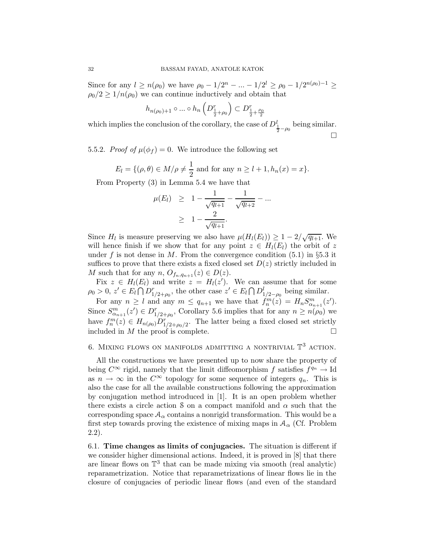Since for any  $l \ge n(\rho_0)$  we have  $\rho_0 - 1/2^n - ... - 1/2^l \ge \rho_0 - 1/2^{n(\rho_0)-1} \ge$  $\rho_0/2 \geq 1/n(\rho_0)$  we can continue inductively and obtain that

$$
h_{n(\rho_0)+1} \circ \dots \circ h_n\left(D_{\frac{1}{2}+\rho_0}^r\right) \subset D_{\frac{1}{2}+\frac{\rho_0}{2}}^r
$$

which implies the conclusion of the corollary, the case of  $D_{\frac{1}{2}-\rho_0}^l$  being similar.  $\Box$ 

5.5.2. Proof of  $\mu(\phi_f) = 0$ . We introduce the following set

$$
E_l = \{(\rho, \theta) \in M/\rho \neq \frac{1}{2} \text{ and for any } n \geq l+1, h_n(x) = x\}.
$$

From Property (3) in Lemma 5.4 we have that

$$
\mu(E_l) \geq 1 - \frac{1}{\sqrt{q_{l+1}}} - \frac{1}{\sqrt{q_{l+2}}} - \dots
$$

$$
\geq 1 - \frac{2}{\sqrt{q_{l+1}}}.
$$

Since  $H_l$  is measure preserving we also have  $\mu(H_l(E_l)) \geq 1 - 2/\sqrt{q_{l+1}}$ . We will hence finish if we show that for any point  $z \in H_l(E_l)$  the orbit of z under f is not dense in M. From the convergence condition  $(5.1)$  in §5.3 it suffices to prove that there exists a fixed closed set  $D(z)$  strictly included in M such that for any  $n, O_{f_n,q_{n+1}}(z) \in D(z)$ .

Fix  $z \in H_l(E_l)$  and write  $z = H_l(z')$ . We can assume that for some  $\rho_0 > 0, z' \in E_l \cap D_{1/2+\rho_0}^r$ , the other case  $z' \in E_l \cap D_{1/2-\rho_0}^l$  being similar.

For any  $n \geq l$  and any  $m \leq q_{n+1}$  we have that  $f_n^m(z) = H_n S_{\alpha_{n+1}}^m(z')$ . Since  $S_{\alpha_{n+1}}^m(z') \in D_{1/2+\rho_0}^r$ , Corollary 5.6 implies that for any  $n \geq n(\rho_0)$  we have  $f_n^m(z) \in H_{n(\rho_0)}D_{1/2+\rho_0/2}^r$ . The latter being a fixed closed set strictly included in M the proof is complete.

# 6. MIXING FLOWS ON MANIFOLDS ADMITTING A NONTRIVIAL  $\mathbb{T}^3$  action.

All the constructions we have presented up to now share the property of being  $C^{\infty}$  rigid, namely that the limit diffeomorphism f satisfies  $f^{q_n} \to \text{Id}$ as  $n \to \infty$  in the  $C^{\infty}$  topology for some sequence of integers  $q_n$ . This is also the case for all the available constructions following the approximation by conjugation method introduced in [1]. It is an open problem whether there exists a circle action S on a compact manifold and  $\alpha$  such that the corresponding space  $A_{\alpha}$  contains a nonrigid transformation. This would be a first step towards proving the existence of mixing maps in  $A_{\alpha}$  (Cf. Problem 2.2).

6.1. Time changes as limits of conjugacies. The situation is different if we consider higher dimensional actions. Indeed, it is proved in [8] that there are linear flows on  $\mathbb{T}^3$  that can be made mixing via smooth (real analytic) reparametrization. Notice that reparametrizations of linear flows lie in the closure of conjugacies of periodic linear flows (and even of the standard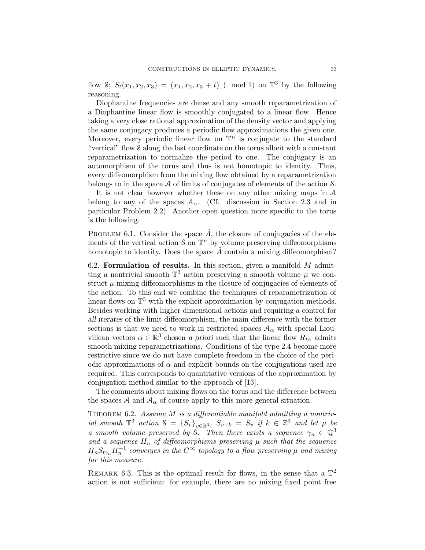flow S;  $S_t(x_1, x_2, x_3) = (x_1, x_2, x_3 + t)$  (mod 1) on  $\mathbb{T}^3$  by the following reasoning.

Diophantine frequencies are dense and any smooth reparametrization of a Diophantine linear flow is smoothly conjugated to a linear flow. Hence taking a very close rational approximation of the density vector and applying the same conjugacy produces a periodic flow approximations the given one. Moreover, every periodic linear flow on  $\mathbb{T}^n$  is conjugate to the standard "vertical" flow S along the last coordinate on the torus albeit with a constant reparametrization to normalize the period to one. The conjugacy is an automorphism of the torus and thus is not homotopic to identity. Thus, every diffeomorphism from the mixing flow obtained by a reparametrization belongs to in the space A of limits of conjugates of elements of the action S.

It is not clear however whether these on any other mixing maps in A belong to any of the spaces  $A_{\alpha}$ . (Cf. discussion in Section 2.3 and in particular Problem 2.2). Another open question more specific to the torus is the following.

PROBLEM 6.1. Consider the space  $\tilde{A}$ , the closure of conjugacies of the elements of the vertical action  $S$  on  $\mathbb{T}^n$  by volume preserving diffeomorphisms homotopic to identity. Does the space  $\vec{A}$  contain a mixing diffeomorphism?

6.2. Formulation of results. In this section, given a manifold  $M$  admitting a nontrivial smooth  $\mathbb{T}^3$  action preserving a smooth volume  $\mu$  we construct  $\mu$ -mixing diffeomorphisms in the closure of conjugacies of elements of the action. To this end we combine the techniques of reparametrization of linear flows on  $\mathbb{T}^3$  with the explicit approximation by conjugation methods. Besides working with higher dimensional actions and requiring a control for all iterates of the limit diffeomorphism, the main difference with the former sections is that we need to work in restricted spaces  $A_{\alpha}$  with special Liouvillean vectors  $\alpha \in \mathbb{R}^3$  chosen a priori such that the linear flow  $R_{t\alpha}$  admits smooth mixing reparametrizations. Conditions of the type 2.4 become more restrictive since we do not have complete freedom in the choice of the periodic approximations of  $\alpha$  and explicit bounds on the conjugations used are required. This corresponds to quantitative versions of the approximation by conjugation method similar to the approach of [13].

The comments about mixing flows on the torus and the difference between the spaces A and  $A_{\alpha}$  of course apply to this more general situation.

THEOREM  $6.2$ . Assume M is a differentiable manifold admitting a nontrivial smooth  $\mathbb{T}^3$  action  $S = \{S_v\}_{v \in \mathbb{R}^3}$ ,  $S_{v+k} = S_v$  if  $k \in \mathbb{Z}^3$  and let  $\mu$  be a smooth volume preserved by S. Then there exists a sequence  $\gamma_n \in \mathbb{Q}^3$ and a sequence  $H_n$  of diffeomorphisms preserving  $\mu$  such that the sequence  $H_nS_{t\gamma_n}H_n^{-1}$  converges in the  $C^\infty$  topology to a flow preserving  $\mu$  and mixing for this measure.

REMARK 6.3. This is the optimal result for flows, in the sense that a  $\mathbb{T}^2$ action is not sufficient: for example, there are no mixing fixed point free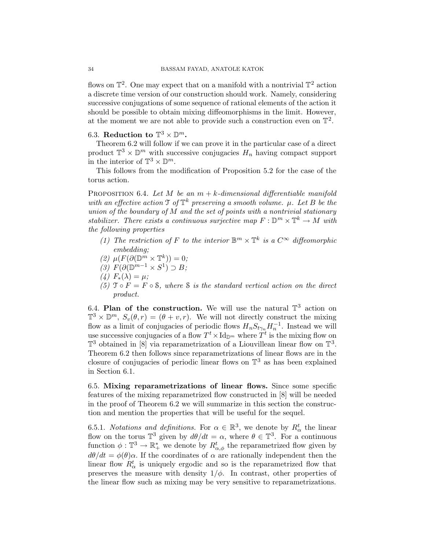flows on  $\mathbb{T}^2$ . One may expect that on a manifold with a nontrivial  $\mathbb{T}^2$  action a discrete time version of our construction should work. Namely, considering successive conjugations of some sequence of rational elements of the action it should be possible to obtain mixing diffeomorphisms in the limit. However, at the moment we are not able to provide such a construction even on  $\mathbb{T}^2$ .

# 6.3. Reduction to  $\mathbb{T}^3 \times \mathbb{D}^m$ .

Theorem 6.2 will follow if we can prove it in the particular case of a direct product  $\mathbb{T}^3 \times \mathbb{D}^m$  with successive conjugacies  $H_n$  having compact support in the interior of  $\mathbb{T}^3 \times \mathbb{D}^m$ .

This follows from the modification of Proposition 5.2 for the case of the torus action.

PROPOSITION 6.4. Let M be an  $m + k$ -dimensional differentiable manifold with an effective action  $\mathfrak{I}$  of  $\mathbb{T}^k$  preserving a smooth volume.  $\mu$ . Let B be the union of the boundary of  $M$  and the set of points with a nontrivial stationary stabilizer. There exists a continuous surjective map  $F: \mathbb{D}^m \times \mathbb{T}^k \to M$  with the following properties

- (1) The restriction of F to the interior  $\mathbb{B}^m \times \mathbb{T}^k$  is a  $C^{\infty}$  diffeomorphic embedding;
- (2)  $\mu(F(\partial(\mathbb{D}^m \times \mathbb{T}^k))) = 0;$
- (3)  $F(\partial(\mathbb{D}^{m-1}\times S^1)\supset B;$
- (4)  $F_*(\lambda) = \mu$ ;
- (5)  $\mathfrak{T} \circ F = F \circ \mathfrak{S}$ , where  $\mathfrak{S}$  is the standard vertical action on the direct product.

6.4. Plan of the construction. We will use the natural  $\mathbb{T}^3$  action on  $\mathbb{T}^3 \times \mathbb{D}^m$ ,  $S_v(\theta, r) = (\theta + v, r)$ . We will not directly construct the mixing flow as a limit of conjugacies of periodic flows  $H_n S_{t\gamma_n} H_n^{-1}$ . Instead we will use successive conjugacies of a flow  $T^t \times \mathrm{Id}_{\mathbb{D}^m}$  where  $T^t$  is the mixing flow on  $\mathbb{T}^3$  obtained in [8] via reparametrization of a Liouvillean linear flow on  $\mathbb{T}^3$ . Theorem 6.2 then follows since reparametrizations of linear flows are in the closure of conjugacies of periodic linear flows on  $\mathbb{T}^3$  as has been explained in Section 6.1.

6.5. Mixing reparametrizations of linear flows. Since some specific features of the mixing reparametrized flow constructed in [8] will be needed in the proof of Theorem 6.2 we will summarize in this section the construction and mention the properties that will be useful for the sequel.

6.5.1. Notations and definitions. For  $\alpha \in \mathbb{R}^3$ , we denote by  $R^t_\alpha$  the linear flow on the torus  $\mathbb{T}^3$  given by  $d\theta/dt = \alpha$ , where  $\theta \in \mathbb{T}^3$ . For a continuous function  $\phi: \mathbb{T}^3 \to \mathbb{R}_+^*$  we denote by  $R^t_{\alpha,\phi}$  the reparametrized flow given by  $d\theta/dt = \phi(\theta)\alpha$ . If the coordinates of  $\alpha$  are rationally independent then the linear flow  $R^t_\alpha$  is uniquely ergodic and so is the reparametrized flow that preserves the measure with density  $1/\phi$ . In contrast, other properties of the linear flow such as mixing may be very sensitive to reparametrizations.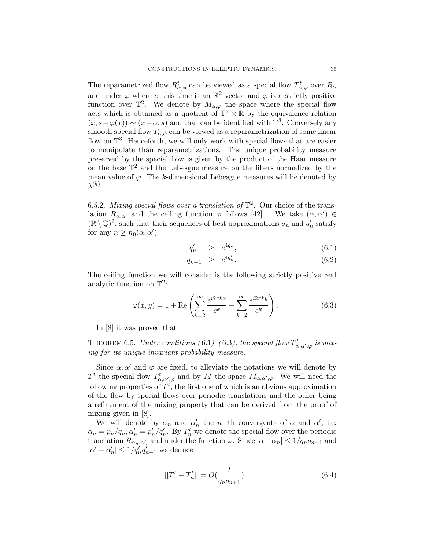The reparametrized flow  $R^t_{\alpha,\phi}$  can be viewed as a special flow  $T^t_{\alpha,\varphi}$  over  $R_{\alpha}$ and under  $\varphi$  where  $\alpha$  this time is an  $\mathbb{R}^2$  vector and  $\varphi$  is a strictly positive function over  $\mathbb{T}^2$ . We denote by  $M_{\alpha,\varphi}$  the space where the special flow acts which is obtained as a quotient of  $\mathbb{T}^2 \times \mathbb{R}$  by the equivalence relation  $(x, s + \varphi(x)) \sim (x + \alpha, s)$  and that can be identified with  $\mathbb{T}^3$ . Conversely any smooth special flow  $T_{\alpha,\phi}$  can be viewed as a reparametrization of some linear flow on  $\mathbb{T}^3$ . Henceforth, we will only work with special flows that are easier to manipulate than reparametrizations. The unique probability measure preserved by the special flow is given by the product of the Haar measure on the base  $\mathbb{T}^2$  and the Lebesgue measure on the fibers normalized by the mean value of  $\varphi$ . The k-dimensional Lebesgue measures will be denoted by  $\lambda^{(k)}.$ 

6.5.2. Mixing special flows over a translation of  $\mathbb{T}^2$ . Our choice of the translation  $R_{\alpha,\alpha'}$  and the ceiling function  $\varphi$  follows [42]. We take  $(\alpha,\alpha') \in$  $(\mathbb{R}\setminus \mathbb{Q})^2$ , such that their sequences of best approximations  $q_n$  and  $q'_n$  satisfy for any  $n \geq n_0(\alpha, \alpha')$ 

$$
q'_n \quad \geq \quad e^{4q_n}, \tag{6.1}
$$

$$
q_{n+1} \geq e^{4q'_n}.\tag{6.2}
$$

The ceiling function we will consider is the following strictly positive real analytic function on  $\mathbb{T}^2$ :

$$
\varphi(x,y) = 1 + \text{Re}\left(\sum_{k=2}^{\infty} \frac{e^{i2\pi kx}}{e^k} + \sum_{k=2}^{\infty} \frac{e^{i2\pi ky}}{e^k}\right).
$$
 (6.3)

In [8] it was proved that

THEOREM 6.5. Under conditions (6.1)–(6.3), the special flow  $T^t_{\alpha,\alpha',\varphi}$  is mixing for its unique invariant probability measure.

Since  $\alpha, \alpha'$  and  $\varphi$  are fixed, to alleviate the notations we will denote by  $T^t$  the special flow  $T^t_{\alpha,\alpha',\varphi}$  and by M the space  $M_{\alpha,\alpha',\varphi}$ . We will need the following properties of  $T^t$ , the first one of which is an obvious approximation of the flow by special flows over periodic translations and the other being a refinement of the mixing property that can be derived from the proof of mixing given in [8].

We will denote by  $\alpha_n$  and  $\alpha'_n$  the n−th convergents of  $\alpha$  and  $\alpha'$ , i.e.  $\alpha_n = p_n/q_n, \alpha'_n = p'_n/q'_n$ . By  $T_n^t$  we denote the special flow over the periodic translation  $R_{\alpha_n,\alpha'_n}$  and under the function  $\varphi$ . Since  $|\alpha-\alpha_n| \leq 1/q_nq_{n+1}$  and  $|\alpha' - \alpha'_n| \leq 1/q'_n q'_{n+1}$  we deduce

$$
||Tt - Tnt|| = O(\frac{t}{q_n q_{n+1}}).
$$
\n(6.4)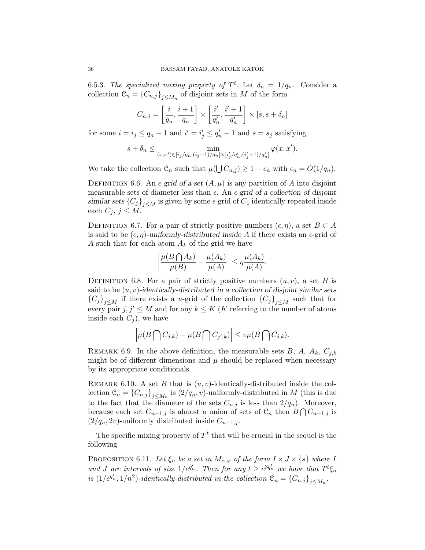6.5.3. The specialized mixing property of  $T<sup>t</sup>$ . Let  $\delta_n = 1/q_n$ . Consider a collection  $\mathcal{C}_n = \{C_{n,j}\}_{j \leq M_n}$  of disjoint sets in M of the form

$$
C_{n,j} = \left[\frac{i}{q_n}, \frac{i+1}{q_n}\right] \times \left[\frac{i'}{q'_n}, \frac{i'+1}{q'_n}\right] \times [s, s + \delta_n]
$$

for some  $i = i_j \le q_n - 1$  and  $i' = i'_j \le q'_n - 1$  and  $s = s_j$  satisfying

$$
s + \delta_n \le \min_{(x,x') \in [i_j/q_n, (i_j+1)/q_n] \times [i'_j/q'_n, (i'_j+1)/q'_n]} \varphi(x,x').
$$

We take the collection  $\mathcal{C}_n$  such that  $\mu(\bigcup C_{n,j}) \geq 1 - \epsilon_n$  with  $\epsilon_n = O(1/q_n)$ .

DEFINITION 6.6. An  $\epsilon$ -grid of a set  $(A, \mu)$  is any partition of A into disjoint measurable sets of diameter less than  $\epsilon$ . An  $\epsilon$ -grid of a collection of disjoint similar sets  ${C_j}_{j\lt M}$  is given by some  $\epsilon$ -grid of  $C_1$  identically repeated inside each  $C_j$ ,  $j \leq M$ .

DEFINITION 6.7. For a pair of strictly positive numbers  $(\epsilon, \eta)$ , a set  $B \subset A$ is said to be  $(\epsilon, \eta)$ -uniformly-distributed inside A if there exists an  $\epsilon$ -grid of A such that for each atom  $A_k$  of the grid we have

$$
\left|\frac{\mu(B\bigcap A_k)}{\mu(B)} - \frac{\mu(A_k)}{\mu(A)}\right| \leq \eta \frac{\mu(A_k)}{\mu(A)}.
$$

DEFINITION 6.8. For a pair of strictly positive numbers  $(u, v)$ , a set B is said to be  $(u, v)$ -identically-distributed in a collection of disjoint similar sets  ${C_j}_{j\leq M}$  if there exists a u-grid of the collection  ${C_j}_{j\leq M}$  such that for every pair  $j, j' \leq M$  and for any  $k \leq K$  (*K* referring to the number of atoms inside each  $C_i$ ), we have

$$
\left|\mu(B\bigcap C_{j,k})-\mu(B\bigcap C_{j',k})\right|\leq v\mu(B\bigcap C_{j,k}).
$$

REMARK 6.9. In the above definition, the measurable sets B, A,  $A_k$ ,  $C_{i,k}$ might be of different dimensions and  $\mu$  should be replaced when necessary by its appropriate conditionals.

REMARK 6.10. A set B that is  $(u, v)$ -identically-distributed inside the collection  $\mathcal{C}_n = \{C_{n,j}\}_{j \leq M_n}$  is  $(2/q_n, v)$ -uniformly-distributed in M (this is due to the fact that the diameter of the sets  $C_{n,j}$  is less than  $2/q_n$ ). Moreover, because each set  $C_{n-1,j}$  is almost a union of sets of  $\mathcal{C}_n$  then  $B \bigcap C_{n-1,j}$  is  $(2/q_n, 2v)$ -uniformly distributed inside  $C_{n-1,j}$ .

The specific mixing property of  $T<sup>t</sup>$  that will be crucial in the sequel is the following

PROPOSITION 6.11. Let  $\xi_n$  be a set in  $M_{\alpha,\varphi}$  of the form  $I \times J \times \{s\}$  where I and J are intervals of size  $1/e^{q_n}$ . Then for any  $t \geq e^{3q_n}$  we have that  $T^t \xi_n$ is  $(1/e^{q'_n}, 1/n^2)$ -identically-distributed in the collection  $\mathfrak{C}_n = \{C_{n,j}\}_{j \leq M_n}$ .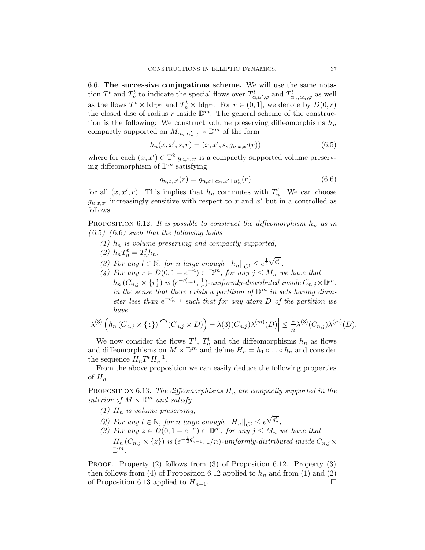6.6. The successive conjugations scheme. We will use the same notation  $T^t$  and  $T^t_n$  to indicate the special flows over  $T^t_{\alpha,\alpha',\varphi}$  and  $T^t_{\alpha_n,\alpha'_n,\varphi}$  as well as the flows  $T^t \times \mathrm{Id}_{\mathbb{D}^m}$  and  $T_n^t \times \mathrm{Id}_{\mathbb{D}^m}$ . For  $r \in (0,1]$ , we denote by  $D(0,r)$ the closed disc of radius r inside  $\mathbb{D}^m$ . The general scheme of the construction is the following: We construct volume preserving diffeomorphisms  $h_n$ compactly supported on  $M_{\alpha_n,\alpha_n',\varphi}\times \mathbb{D}^m$  of the form

$$
h_n(x, x', s, r) = (x, x', s, g_{n,x,x'}(r))
$$
\n(6.5)

where for each  $(x, x') \in \mathbb{T}^2$   $g_{n,x,x'}$  is a compactly supported volume preserving diffeomorphism of  $\mathbb{D}^m$  satisfying

$$
g_{n,x,x'}(r) = g_{n,x+\alpha_n,x'+\alpha'_n}(r)
$$
\n(6.6)

for all  $(x, x', r)$ . This implies that  $h_n$  commutes with  $T_n^t$ . We can choose  $g_{n,x,x'}$  increasingly sensitive with respect to x and x' but in a controlled as follows

PROPOSITION 6.12. It is possible to construct the diffeomorphism  $h_n$  as in  $(6.5)-(6.6)$  such that the following holds

- (1)  $h_n$  is volume preserving and compactly supported,
- (2)  $h_n T_n^t = T_n^t h_n$ ,
- (3) For any  $l \in \mathbb{N}$ , for n large enough  $||h_n||_{C^l} \leq e^{\frac{1}{2}\sqrt{q'_n}}$ .
- (4) For any  $r \in D(0, 1-e^{-n}) \subset \mathbb{D}^m$ , for any  $j \leq M_n$  we have that  $h_n(C_{n,j} \times \{r\})$  is  $(e^{-q'_{n-1}}, \frac{1}{n})$  $\frac{1}{n}$ )-uniformly-distributed inside  $C_{n,j} \times \mathbb{D}^m$ . in the sense that there exists a partition of  $\mathbb{D}^m$  in sets having diameter less than  $e^{-q'_{n-1}}$  such that for any atom D of the partition we have

$$
\left|\lambda^{(3)}\left(h_n(C_{n,j}\times\{z\})\bigcap(C_{n,j}\times D)\right)-\lambda(3)(C_{n,j})\lambda^{(m)}(D)\right|\leq \frac{1}{n}\lambda^{(3)}(C_{n,j})\lambda^{(m)}(D).
$$

We now consider the flows  $T^t$ ,  $T_n^t$  and the diffeomorphisms  $h_n$  as flows and diffeomorphisms on  $M \times \mathbb{D}^m$  and define  $H_n = h_1 \circ ... \circ h_n$  and consider the sequence  $H_nT^tH_n^{-1}$ .

From the above proposition we can easily deduce the following properties of  $H_n$ 

PROPOSITION 6.13. The diffeomorphisms  $H_n$  are compactly supported in the interior of  $M \times \mathbb{D}^m$  and satisfy

- (1)  $H_n$  is volume preserving,
- (2) For any  $l \in \mathbb{N}$ , for n large enough  $||H_n||_{C^l} \leq e^{\sqrt{q'_n}}$ ,
- (3) For any  $z \in D(0, 1-e^{-n}) \subset \mathbb{D}^m$ , for any  $j \leq M_n$  we have that  $H_n(C_{n,j}\times \{z\})$  is  $(e^{-\frac{1}{2}q_{n-1}^{\prime}},1/n)$ -uniformly-distributed inside  $C_{n,j}\times$  $\mathbb{D}^m$ .

PROOF. Property (2) follows from (3) of Proposition 6.12. Property (3) then follows from (4) of Proposition 6.12 applied to  $h_n$  and from (1) and (2) of Proposition 6.13 applied to  $H_{n-1}$ . □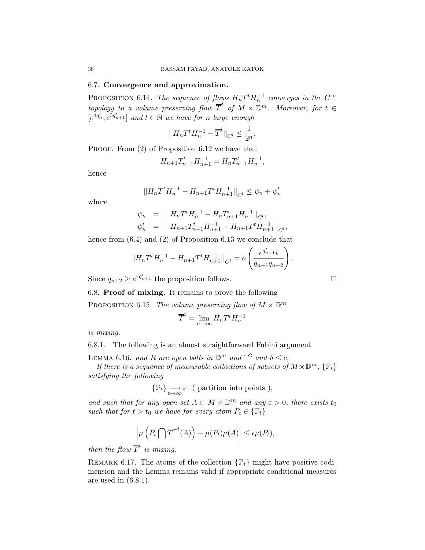### 6.7. Convergence and approximation.

PROPOSITION 6.14. The sequence of flows  $H_nT^tH_n^{-1}$  converges in the  $C^{\infty}$ topology to a volume preserving flow  $\overline{T}^t$  of  $M \times \mathbb{D}^m$ . Moreover, for  $t \in$  $[e^{3q'_n}, e^{3q'_{n+1}}]$  and  $l \in \mathbb{N}$  we have for n large enough

$$
||H_nT^tH_n^{-1}-\overline{T}^t||_{C^l}\leq \frac{1}{2^n}.
$$

PROOF. From  $(2)$  of Proposition 6.12 we have that

$$
H_{n+1}T_{n+1}^t H_{n+1}^{-1} = H_n T_{n+1}^t H_n^{-1},
$$

hence

$$
||H_nT^tH_n^{-1} - H_{n+1}T^tH_{n+1}^{-1}||_{C^l} \le \psi_n + \psi'_n
$$

where

$$
\psi_n = ||H_n T^t H_n^{-1} - H_n T_{n+1}^t H_n^{-1}||_{C^l},
$$
  

$$
\psi'_n = ||H_{n+1} T_{n+1}^t H_{n+1}^{-1} - H_{n+1} T^t H_{n+1}^{-1}||_{C^l},
$$

hence from  $(6.4)$  and  $(2)$  of Proposition 6.13 we conclude that

$$
||H_nT^tH_n^{-1} - H_{n+1}T^tH_{n+1}^{-1}||_{C^l} = o\left(\frac{e^{q'_{n+1}}t}{q_{n+1}q_{n+2}}\right).
$$

Since  $q_{n+2} \geq e^{4q'_{n+1}}$  the proposition follows.

6.8. Proof of mixing. It remains to prove the following

PROPOSITION 6.15. The volume preserving flow of  $M \times \mathbb{D}^m$ 

$$
\overline{T}^t = \lim_{n \to \infty} H_n T^t H_n^{-1}
$$

is mixing.

6.8.1. The following is an almost straightforward Fubini argument

LEMMA 6.16. and R are open balls in  $\mathbb{D}^m$  and  $\mathbb{T}^2$  and  $\delta \leq c$ ,

If there is a sequence of measurable collections of subsets of  $M\times \mathbb{D}^m,$   $\{\mathfrak{P}_t\}$ satisfying the following

$$
\{\mathfrak{P}_t\}_{\substack{\longrightarrow\\t\rightarrow\infty}}\varepsilon\ \ (\text{ partition into points}\ ),
$$

and such that for any open set  $A \subset M \times \mathbb{D}^m$  and any  $\varepsilon > 0$ , there exists to such that for  $t > t_0$  we have for every atom  $P_t \in \{P_t\}$ 

$$
\left|\mu\left(P_t\bigcap \overline{T}^{-t}(A)\right)-\mu(P_t)\mu(A)\right|\leq \epsilon\mu(P_t),
$$

then the flow  $\overline{T}^t$  is mixing.

REMARK 6.17. The atoms of the collection  $\{\mathcal{P}_t\}$  might have positive codimension and the Lemma remains valid if appropriate conditional measures are used in (6.8.1).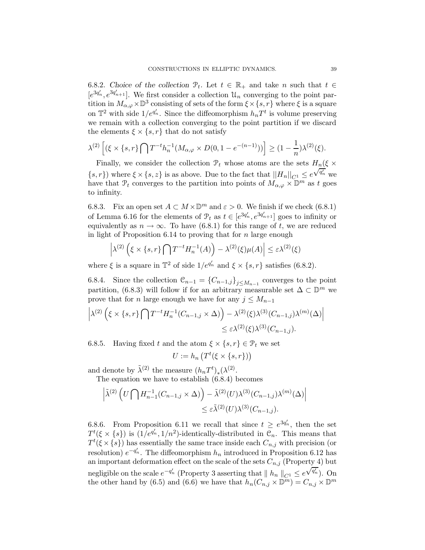6.8.2. Choice of the collection  $\mathcal{P}_t$ . Let  $t \in \mathbb{R}_+$  and take n such that  $t \in \mathbb{R}$ .  $[e^{3q_n}, e^{3q_{n+1}}]$ . We first consider a collection  $\mathcal{U}_n$  converging to the point partition in  $M_{\alpha,\varphi} \times \mathbb{D}^3$  consisting of sets of the form  $\xi \times \{s, r\}$  where  $\xi$  is a square on  $\mathbb{T}^2$  with side  $1/e^{q'_n}$ . Since the diffeomorphism  $h_nT^t$  is volume preserving we remain with a collection converging to the point partition if we discard the elements  $\xi \times \{s, r\}$  that do not satisfy

$$
\lambda^{(2)} \left[ (\xi \times \{s, r\} \bigcap T^{-t} h_n^{-1} (M_{\alpha, \varphi} \times D(0, 1 - e^{-(n-1)})) \right] \ge (1 - \frac{1}{n}) \lambda^{(2)}(\xi).
$$

Finally, we consider the collection  $\mathcal{P}_t$  whose atoms are the sets  $H_n(\xi \times$  $\{s,r\}$ ) where  $\xi \times \{s,z\}$  is as above. Due to the fact that  $||H_n||_{C_1} \leq e$  $\sqrt{q_n^{\prime}}$  we have that  $\mathcal{P}_t$  converges to the partition into points of  $M_{\alpha,\varphi} \times \mathbb{D}^m$  as t goes to infinity.

6.8.3. Fix an open set  $A \subset M \times \mathbb{D}^m$  and  $\varepsilon > 0$ . We finish if we check (6.8.1) of Lemma 6.16 for the elements of  $\mathcal{P}_t$  as  $t \in [e^{3q'_n}, e^{3q'_{n+1}}]$  goes to infinity or equivalently as  $n \to \infty$ . To have (6.8.1) for this range of t, we are reduced in light of Proposition 6.14 to proving that for  $n$  large enough

$$
\left|\lambda^{(2)}\left(\xi \times \{s,r\}\bigcap T^{-t}H_n^{-1}(A)\right) - \lambda^{(2)}(\xi)\mu(A)\right| \leq \varepsilon \lambda^{(2)}(\xi)
$$

where  $\xi$  is a square in  $\mathbb{T}^2$  of side  $1/e^{q'_n}$  and  $\xi \times \{s, r\}$  satisfies (6.8.2).

6.8.4. Since the collection  $\mathcal{C}_{n-1} = \{C_{n-1,j}\}_{j \leq M_{n-1}}$  converges to the point partition, (6.8.3) will follow if for an arbitrary measurable set  $\Delta \subset \mathbb{D}^m$  we prove that for *n* large enough we have for any  $j \leq M_{n-1}$ 

$$
\left| \lambda^{(2)} \left( \xi \times \{s, r\} \bigcap T^{-t} H_n^{-1} (C_{n-1,j} \times \Delta) \right) - \lambda^{(2)}(\xi) \lambda^{(3)}(C_{n-1,j}) \lambda^{(m)}(\Delta) \right|
$$
  

$$
\leq \varepsilon \lambda^{(2)}(\xi) \lambda^{(3)}(C_{n-1,j}).
$$

6.8.5. Having fixed t and the atom  $\xi \times \{s, r\} \in \mathcal{P}_t$  we set

$$
U := h_n\left(T^t(\xi \times \{s, r\})\right)
$$

and denote by  $\tilde{\lambda}^{(2)}$  the measure  $(h_n T^t)_*(\lambda^{(2)}).$ 

The equation we have to establish (6.8.4) becomes

$$
\left| \tilde{\lambda}^{(2)} \left( U \bigcap H_{n-1}^{-1} (C_{n-1,j} \times \Delta) \right) - \tilde{\lambda}^{(2)}(U) \lambda^{(3)}(C_{n-1,j}) \lambda^{(m)}(\Delta) \right|
$$
  

$$
\leq \varepsilon \tilde{\lambda}^{(2)}(U) \lambda^{(3)}(C_{n-1,j}).
$$

6.8.6. From Proposition 6.11 we recall that since  $t \geq e^{3q_n}$ , then the set  $T^t(\xi \times \{s\})$  is  $(1/e^{q_n'}, 1/n^2)$ -identically-distributed in  $\mathcal{C}_n$ . This means that  $T^{t}(\xi \times \{s\})$  has essentially the same trace inside each  $C_{n,j}$  with precision (or resolution)  $e^{-q_n}$ . The diffeomorphism  $h_n$  introduced in Proposition 6.12 has an important deformation effect on the scale of the sets  $C_{n,j}$  (Property 4) but negligible on the scale  $e^{-q'_n}$  (Property 3 asserting that  $|| h_n ||_{C^1} \le e$  $\sqrt{q'_n}$ ). On the other hand by (6.5) and (6.6) we have that  $h_n(C_{n,j} \times \mathbb{D}^m) = C_{n,j} \times \mathbb{D}^m$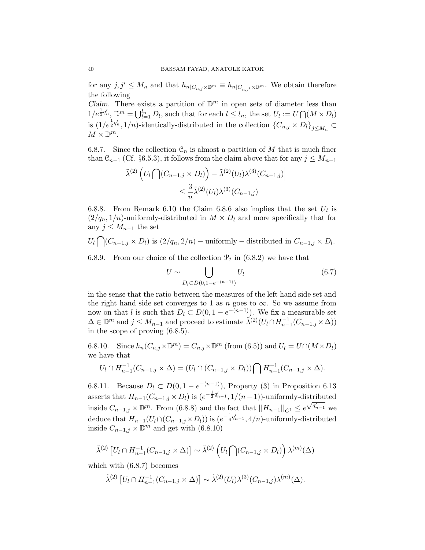for any  $j, j' \leq M_n$  and that  $h_{n|C_{n,j}\times\mathbb{D}^m} \equiv h_{n|C_{n,j'}\times\mathbb{D}^m}$ . We obtain therefore the following

Claim. There exists a partition of  $\mathbb{D}^m$  in open sets of diameter less than  $1/e^{\frac{1}{2}q'_n}$ ,  $\mathbb{D}^m = \bigcup_{l=1}^{l_n} D_l$ , such that for each  $l \leq l_n$ , the set  $U_l := U \bigcap (M \times D_l)$ is  $(1/e^{\frac{1}{2}q'_n}, 1/n)$ -identically-distributed in the collection  ${C_{n,j} \times D_l}$ <sub>j $\leq M_n$ </sub>  $M \times \mathbb{D}^m$ .

6.8.7. Since the collection  $\mathcal{C}_n$  is almost a partition of M that is much finer than  $\mathcal{C}_{n-1}$  (Cf. §6.5.3), it follows from the claim above that for any  $j \leq M_{n-1}$ 

$$
\left| \tilde{\lambda}^{(2)} \left( U_l \bigcap (C_{n-1,j} \times D_l) \right) - \tilde{\lambda}^{(2)}(U_l) \lambda^{(3)}(C_{n-1,j}) \right|
$$
  

$$
\leq \frac{3}{n} \tilde{\lambda}^{(2)}(U_l) \lambda^{(3)}(C_{n-1,j})
$$

6.8.8. From Remark 6.10 the Claim 6.8.6 also implies that the set  $U_l$  is  $(2/q_n, 1/n)$ -uniformly-distributed in  $M \times D_l$  and more specifically that for any  $j \leq M_{n-1}$  the set

 $U_l \bigcap (C_{n-1,j} \times D_l)$  is  $(2/q_n, 2/n)$  – uniformly – distributed in  $C_{n-1,j} \times D_l$ .

6.8.9. From our choice of the collection  $\mathcal{P}_t$  in (6.8.2) we have that

$$
U \sim \bigcup_{D_l \subset D(0, 1 - e^{-(n-1)})} U_l \tag{6.7}
$$

in the sense that the ratio between the measures of the left hand side set and the right hand side set converges to 1 as n goes to  $\infty$ . So we assume from now on that l is such that  $D_l \subset D(0, 1 - e^{-(n-1)})$ . We fix a measurable set  $\Delta \in \mathbb{D}^m$  and  $j \leq M_{n-1}$  and proceed to estimate  $\tilde{\lambda}^{(2)}(U_l \cap H_{n-1}^{-1}(C_{n-1,j} \times \Delta))$ in the scope of proving (6.8.5).

6.8.10. Since  $h_n(C_{n,j}\times\mathbb{D}^m) = C_{n,j}\times\mathbb{D}^m$  (from (6.5)) and  $U_l = U\cap (M\times D_l)$ we have that

$$
U_l \cap H_{n-1}^{-1}(C_{n-1,j} \times \Delta) = (U_l \cap (C_{n-1,j} \times D_l)) \cap H_{n-1}^{-1}(C_{n-1,j} \times \Delta).
$$

6.8.11. Because  $D_l \subset D(0, 1 - e^{-(n-1)})$ , Property (3) in Proposition 6.13 asserts that  $H_{n-1}(C_{n-1,j} \times D_l)$  is  $(e^{-\frac{1}{2}q'_{n-1}}, 1/(n-1))$ -uniformly-distributed inside  $C_{n-1,j} \times \mathbb{D}^m$ . From (6.8.8) and the fact that  $||H_{n-1}||_{C^1} \leq e^{\sqrt{q'_{n-1}}}$  we deduce that  $H_{n-1}(U_l \cap (C_{n-1,j} \times D_l))$  is  $(e^{-\frac{1}{4}q'_{n-1}}, 4/n)$ -uniformly-distributed inside  $C_{n-1,j} \times \mathbb{D}^m$  and get with (6.8.10)

$$
\tilde{\lambda}^{(2)}\left[U_l \cap H_{n-1}^{-1}(C_{n-1,j} \times \Delta)\right] \sim \tilde{\lambda}^{(2)}\left(U_l \cap (C_{n-1,j} \times D_l)\right) \lambda^{(m)}(\Delta)
$$

which with (6.8.7) becomes

$$
\tilde{\lambda}^{(2)} \left[ U_l \cap H_{n-1}^{-1} (C_{n-1,j} \times \Delta) \right] \sim \tilde{\lambda}^{(2)}(U_l) \lambda^{(3)}(C_{n-1,j}) \lambda^{(m)}(\Delta).
$$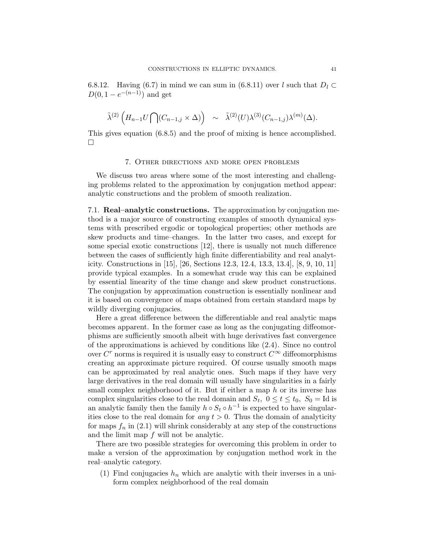6.8.12. Having (6.7) in mind we can sum in (6.8.11) over l such that  $D_l \subset$  $D(0, 1 - e^{-(n-1)})$  and get

$$
\tilde{\lambda}^{(2)}\left(H_{n-1}U\bigcap(C_{n-1,j}\times\Delta)\right) \sim \tilde{\lambda}^{(2)}(U)\lambda^{(3)}(C_{n-1,j})\lambda^{(m)}(\Delta).
$$

This gives equation (6.8.5) and the proof of mixing is hence accomplished.  $\Box$ 

#### 7. Other directions and more open problems

We discuss two areas where some of the most interesting and challenging problems related to the approximation by conjugation method appear: analytic constructions and the problem of smooth realization.

7.1. Real–analytic constructions. The approximation by conjugation method is a major source of constructing examples of smooth dynamical systems with prescribed ergodic or topological properties; other methods are skew products and time–changes. In the latter two cases, and except for some special exotic constructions [12], there is usually not much difference between the cases of sufficiently high finite differentiability and real analyticity. Constructions in [15], [26, Sections 12.3, 12.4, 13.3, 13.4], [8, 9, 10, 11] provide typical examples. In a somewhat crude way this can be explained by essential linearity of the time change and skew product constructions. The conjugation by approximation construction is essentially nonlinear and it is based on convergence of maps obtained from certain standard maps by wildly diverging conjugacies.

Here a great difference between the differentiable and real analytic maps becomes apparent. In the former case as long as the conjugating diffeomorphisms are sufficiently smooth albeit with huge derivatives fast convergence of the approximations is achieved by conditions like (2.4). Since no control over  $C<sup>r</sup>$  norms is required it is usually easy to construct  $C<sup>\infty</sup>$  diffeomorphisms creating an approximate picture required. Of course usually smooth maps can be approximated by real analytic ones. Such maps if they have very large derivatives in the real domain will usually have singularities in a fairly small complex neighborhood of it. But if either a map h or its inverse has complex singularities close to the real domain and  $S_t$ ,  $0 \le t \le t_0$ ,  $S_0 = \text{Id}$  is an analytic family then the family  $h \circ S_t \circ h^{-1}$  is expected to have singularities close to the real domain for *any*  $t > 0$ . Thus the domain of analyticity for maps  $f_n$  in (2.1) will shrink considerably at any step of the constructions and the limit map  $f$  will not be analytic.

There are two possible strategies for overcoming this problem in order to make a version of the approximation by conjugation method work in the real–analytic category.

(1) Find conjugacies  $h_n$  which are analytic with their inverses in a uniform complex neighborhood of the real domain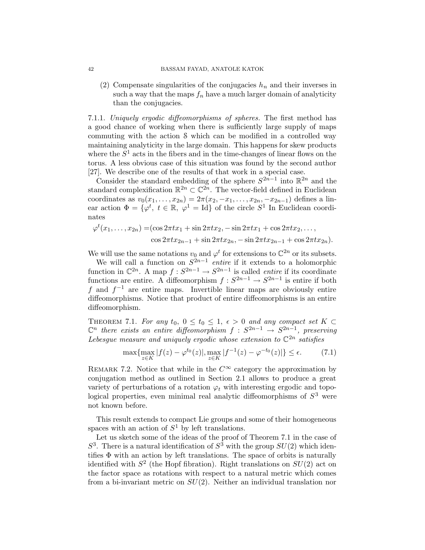(2) Compensate singularities of the conjugacies  $h_n$  and their inverses in such a way that the maps  $f_n$  have a much larger domain of analyticity than the conjugacies.

7.1.1. Uniquely ergodic diffeomorphisms of spheres. The first method has a good chance of working when there is sufficiently large supply of maps commuting with the action S which can be modified in a controlled way maintaining analyticity in the large domain. This happens for skew products where the  $S<sup>1</sup>$  acts in the fibers and in the time-changes of linear flows on the torus. A less obvious case of this situation was found by the second author [27]. We describe one of the results of that work in a special case.

Consider the standard embedding of the sphere  $S^{2n-1}$  into  $\mathbb{R}^{2n}$  and the standard complexification  $\mathbb{R}^{2n} \subset \mathbb{C}^{2n}$ . The vector-field defined in Euclidean coordinates as  $v_0(x_1, \ldots, x_{2n}) = 2\pi(x_2, -x_1, \ldots, x_{2n}, -x_{2n-1})$  defines a linear action  $\Phi = {\varphi^t, t \in \mathbb{R}, \varphi^1 = \text{Id}}$  of the circle  $S^1$  In Euclidean coordinates

$$
\varphi^t(x_1,\ldots,x_{2n}) = (\cos 2\pi tx_1 + \sin 2\pi tx_2, -\sin 2\pi tx_1 + \cos 2\pi tx_2, \ldots, \cos 2\pi tx_{2n-1} + \sin 2\pi tx_{2n}, -\sin 2\pi tx_{2n-1} + \cos 2\pi tx_{2n}).
$$

We will use the same notations  $v_0$  and  $\varphi^t$  for extensions to  $\mathbb{C}^{2n}$  or its subsets.

We will call a function on  $S^{2n-1}$  *entire* if it extends to a holomorphic function in  $\mathbb{C}^{2n}$ . A map  $f : S^{2n-1} \to S^{2n-1}$  is called *entire* if its coordinate functions are entire. A diffeomorphism  $f : S^{2n-1} \to S^{2n-1}$  is entire if both f and  $f^{-1}$  are entire maps. Invertible linear maps are obviously entire diffeomorphisms. Notice that product of entire diffeomorphisms is an entire diffeomorphism.

THEOREM 7.1. For any  $t_0$ ,  $0 \le t_0 \le 1$ ,  $\epsilon > 0$  and any compact set  $K \subset$  $\mathbb{C}^n$  there exists an entire diffeomorphism  $f : S^{2n-1} \to S^{2n-1}$ , preserving Lebesgue measure and uniquely ergodic whose extension to  $\mathbb{C}^{2n}$  satisfies

$$
\max\{\max_{z \in K} |f(z) - \varphi^{t_0}(z)|, \max_{z \in K} |f^{-1}(z) - \varphi^{-t_0}(z)|\} \le \epsilon.
$$
 (7.1)

REMARK 7.2. Notice that while in the  $C^{\infty}$  category the approximation by conjugation method as outlined in Section 2.1 allows to produce a great variety of perturbations of a rotation  $\varphi_t$  with interesting ergodic and topological properties, even minimal real analytic diffeomorphisms of  $S<sup>3</sup>$  were not known before.

This result extends to compact Lie groups and some of their homogeneous spaces with an action of  $S^1$  by left translations.

Let us sketch some of the ideas of the proof of Theorem 7.1 in the case of  $S^3$ . There is a natural identification of  $S^3$  with the group  $SU(2)$  which identifies  $\Phi$  with an action by left translations. The space of orbits is naturally identified with  $S^2$  (the Hopf fibration). Right translations on  $SU(2)$  act on the factor space as rotations with respect to a natural metric which comes from a bi-invariant metric on  $SU(2)$ . Neither an individual translation nor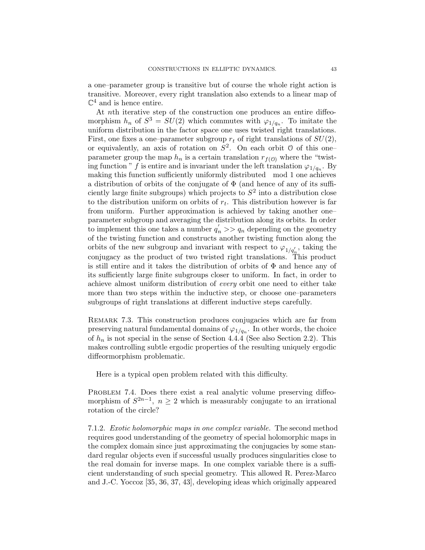a one–parameter group is transitive but of course the whole right action is transitive. Moreover, every right translation also extends to a linear map of  $\mathbb{C}^4$  and is hence entire.

At nth iterative step of the construction one produces an entire diffeomorphism  $h_n$  of  $S^3 = SU(2)$  which commutes with  $\varphi_{1/q_n}$ . To imitate the uniform distribution in the factor space one uses twisted right translations. First, one fixes a one–parameter subgroup  $r_t$  of right translations of  $SU(2)$ , or equivalently, an axis of rotation on  $S^2$ . On each orbit  $\mathcal O$  of this oneparameter group the map  $h_n$  is a certain translation  $r_{f(0)}$  where the "twisting function " f is entire and is invariant under the left translation  $\varphi_{1/q_n}$ . By making this function sufficiently uniformly distributed mod 1 one achieves a distribution of orbits of the conjugate of  $\Phi$  (and hence of any of its sufficiently large finite subgroups) which projects to  $S^2$  into a distribution close to the distribution uniform on orbits of  $r_t$ . This distribution however is far from uniform. Further approximation is achieved by taking another one– parameter subgroup and averaging the distribution along its orbits. In order to implement this one takes a number  $q'_n \gg q_n$  depending on the geometry of the twisting function and constructs another twisting function along the orbits of the new subgroup and invariant with respect to  $\varphi_{1/q'_n}$ , taking the conjugacy as the product of two twisted right translations. This product is still entire and it takes the distribution of orbits of  $\Phi$  and hence any of its sufficiently large finite subgroups closer to uniform. In fact, in order to achieve almost uniform distribution of every orbit one need to either take more than two steps within the inductive step, or choose one–parameters subgroups of right translations at different inductive steps carefully.

REMARK 7.3. This construction produces conjugacies which are far from preserving natural fundamental domains of  $\varphi_{1/q_n}$ . In other words, the choice of  $h_n$  is not special in the sense of Section 4.4.4 (See also Section 2.2). This makes controlling subtle ergodic properties of the resulting uniquely ergodic diffeormorphism problematic.

Here is a typical open problem related with this difficulty.

PROBLEM 7.4. Does there exist a real analytic volume preserving diffeomorphism of  $S^{2n-1}$ ,  $n \geq 2$  which is measurably conjugate to an irrational rotation of the circle?

7.1.2. Exotic holomorphic maps in one complex variable. The second method requires good understanding of the geometry of special holomorphic maps in the complex domain since just approximating the conjugacies by some standard regular objects even if successful usually produces singularities close to the real domain for inverse maps. In one complex variable there is a sufficient understanding of such special geometry. This allowed R. Perez-Marco and J.-C. Yoccoz [35, 36, 37, 43], developing ideas which originally appeared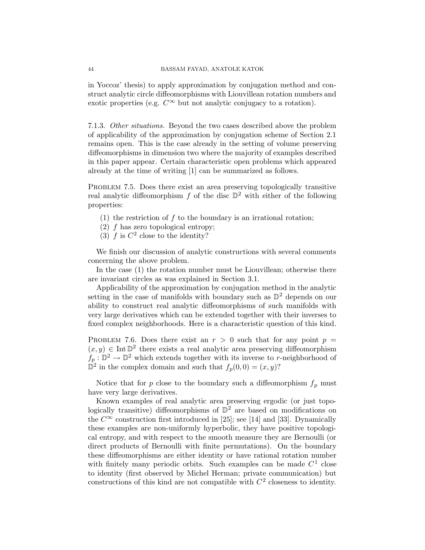in Yoccoz' thesis) to apply approximation by conjugation method and construct analytic circle diffeomorphisms with Liouvillean rotation numbers and exotic properties (e.g.  $C^{\infty}$  but not analytic conjugacy to a rotation).

7.1.3. Other situations. Beyond the two cases described above the problem of applicability of the approximation by conjugation scheme of Section 2.1 remains open. This is the case already in the setting of volume preserving diffeomorphisms in dimension two where the majority of examples described in this paper appear. Certain characteristic open problems which appeared already at the time of writing [1] can be summarized as follows.

PROBLEM 7.5. Does there exist an area preserving topologically transitive real analytic diffeomorphism  $f$  of the disc  $\mathbb{D}^2$  with either of the following properties:

- (1) the restriction of  $f$  to the boundary is an irrational rotation;
- (2) f has zero topological entropy;
- (3) f is  $C^2$  close to the identity?

We finish our discussion of analytic constructions with several comments concerning the above problem.

In the case (1) the rotation number must be Liouvillean; otherwise there are invariant circles as was explained in Section 3.1.

Applicability of the approximation by conjugation method in the analytic setting in the case of manifolds with boundary such as  $\mathbb{D}^2$  depends on our ability to construct real analytic diffeomorphisms of such manifolds with very large derivatives which can be extended together with their inverses to fixed complex neighborhoods. Here is a characteristic question of this kind.

PROBLEM 7.6. Does there exist an  $r > 0$  such that for any point  $p =$  $(x, y)$  ∈ Int  $\mathbb{D}^2$  there exists a real analytic area preserving diffeomorphism  $f_p : \mathbb{D}^2 \to \mathbb{D}^2$  which extends together with its inverse to r-neighborhood of  $\mathbb{D}^2$  in the complex domain and such that  $f_p(0,0) = (x, y)$ ?

Notice that for  $p$  close to the boundary such a diffeomorphism  $f_p$  must have very large derivatives.

Known examples of real analytic area preserving ergodic (or just topologically transitive) diffeomorphisms of  $\mathbb{D}^2$  are based on modifications on the  $C^{\infty}$  construction first introduced in [25]; see [14] and [33]. Dynamically these examples are non-uniformly hyperbolic, they have positive topological entropy, and with respect to the smooth measure they are Bernoulli (or direct products of Bernoulli with finite permutations). On the boundary these diffeomorphisms are either identity or have rational rotation number with finitely many periodic orbits. Such examples can be made  $C<sup>1</sup>$  close to identity (first observed by Michel Herman; private communication) but constructions of this kind are not compatible with  $C<sup>2</sup>$  closeness to identity.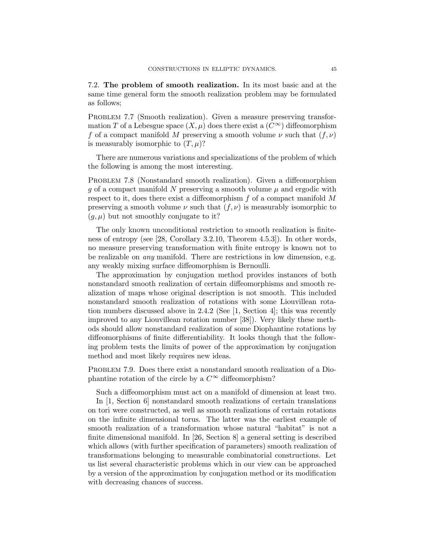7.2. The problem of smooth realization. In its most basic and at the same time general form the smooth realization problem may be formulated as follows;

PROBLEM 7.7 (Smooth realization). Given a measure preserving transformation T of a Lebesgue space  $(X, \mu)$  does there exist a  $(C^{\infty})$  diffeomorphism f of a compact manifold M preserving a smooth volume  $\nu$  such that  $(f, \nu)$ is measurably isomorphic to  $(T, \mu)$ ?

There are numerous variations and specializations of the problem of which the following is among the most interesting.

PROBLEM 7.8 (Nonstandard smooth realization). Given a diffeomorphism g of a compact manifold N preserving a smooth volume  $\mu$  and ergodic with respect to it, does there exist a diffeomorphism  $f$  of a compact manifold  $M$ preserving a smooth volume  $\nu$  such that  $(f, \nu)$  is measurably isomorphic to  $(g, \mu)$  but not smoothly conjugate to it?

The only known unconditional restriction to smooth realization is finiteness of entropy (see [28, Corollary 3.2.10, Theorem 4.5.3]). In other words, no measure preserving transformation with finite entropy is known not to be realizable on any manifold. There are restrictions in low dimension, e.g. any weakly mixing surface diffeomorphism is Bernoulli.

The approximation by conjugation method provides instances of both nonstandard smooth realization of certain diffeomorphisms and smooth realization of maps whose original description is not smooth. This included nonstandard smooth realization of rotations with some Liouvillean rotation numbers discussed above in 2.4.2 (See [1, Section 4]; this was recently improved to any Liouvillean rotation number [38]). Very likely these methods should allow nonstandard realization of some Diophantine rotations by diffeomorphisms of finite differentiability. It looks though that the following problem tests the limits of power of the approximation by conjugation method and most likely requires new ideas.

PROBLEM 7.9. Does there exist a nonstandard smooth realization of a Diophantine rotation of the circle by a  $C^{\infty}$  diffeomorphism?

Such a diffeomorphism must act on a manifold of dimension at least two.

In [1, Section 6] nonstandard smooth realizations of certain translations on tori were constructed, as well as smooth realizations of certain rotations on the infinite dimensional torus. The latter was the earliest example of smooth realization of a transformation whose natural "habitat" is not a finite dimensional manifold. In [26, Section 8] a general setting is described which allows (with further specification of parameters) smooth realization of transformations belonging to measurable combinatorial constructions. Let us list several characteristic problems which in our view can be approached by a version of the approximation by conjugation method or its modification with decreasing chances of success.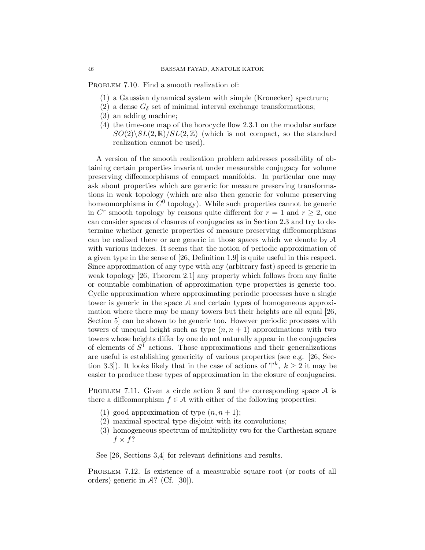PROBLEM 7.10. Find a smooth realization of:

- (1) a Gaussian dynamical system with simple (Kronecker) spectrum;
- (2) a dense  $G_{\delta}$  set of minimal interval exchange transformations;
- (3) an adding machine;
- (4) the time-one map of the horocycle flow 2.3.1 on the modular surface  $SO(2)\backslash SL(2,\mathbb{R})/SL(2,\mathbb{Z})$  (which is not compact, so the standard realization cannot be used).

A version of the smooth realization problem addresses possibility of obtaining certain properties invariant under measurable conjugacy for volume preserving diffeomorphisms of compact manifolds. In particular one may ask about properties which are generic for measure preserving transformations in weak topology (which are also then generic for volume preserving homeomorphisms in  $C^0$  topology). While such properties cannot be generic in  $C^r$  smooth topology by reasons quite different for  $r = 1$  and  $r \ge 2$ , one can consider spaces of closures of conjugacies as in Section 2.3 and try to determine whether generic properties of measure preserving diffeomorphisms can be realized there or are generic in those spaces which we denote by A with various indexes. It seems that the notion of periodic approximation of a given type in the sense of [26, Definition 1.9] is quite useful in this respect. Since approximation of any type with any (arbitrary fast) speed is generic in weak topology [26, Theorem 2.1] any property which follows from any finite or countable combination of approximation type properties is generic too. Cyclic approximation where approximating periodic processes have a single tower is generic in the space A and certain types of homogeneous approximation where there may be many towers but their heights are all equal [26, Section 5] can be shown to be generic too. However periodic processes with towers of unequal height such as type  $(n, n + 1)$  approximations with two towers whose heights differ by one do not naturally appear in the conjugacies of elements of  $S<sup>1</sup>$  actions. Those approximations and their generalizations are useful is establishing genericity of various properties (see e.g. [26, Section 3.3]). It looks likely that in the case of actions of  $\mathbb{T}^k$ ,  $k \geq 2$  it may be easier to produce these types of approximation in the closure of conjugacies.

PROBLEM 7.11. Given a circle action S and the corresponding space A is there a diffeomorphism  $f \in \mathcal{A}$  with either of the following properties:

- (1) good approximation of type  $(n, n+1)$ ;
- (2) maximal spectral type disjoint with its convolutions;
- (3) homogeneous spectrum of multiplicity two for the Carthesian square  $f \times f$ ?

See [26, Sections 3,4] for relevant definitions and results.

PROBLEM 7.12. Is existence of a measurable square root (or roots of all orders) generic in  $\mathcal{A}$ ? (Cf. [30]).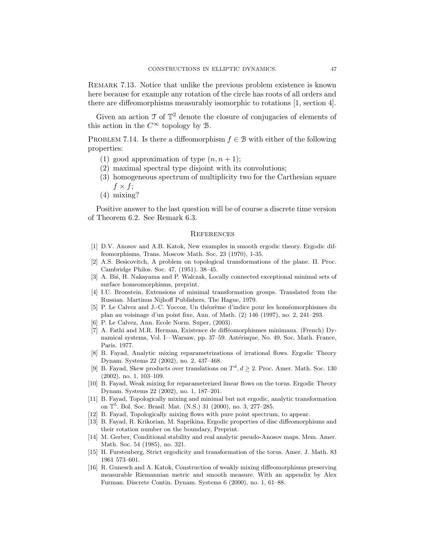Remark 7.13. Notice that unlike the previous problem existence is known here because for example any rotation of the circle has roots of all orders and there are diffeomorphisms measurably isomorphic to rotations [1, section 4].

Given an action  $\mathfrak I$  of  $\mathbb T^2$  denote the closure of conjugacies of elements of this action in the  $C^{\infty}$  topology by  $\mathcal{B}$ .

PROBLEM 7.14. Is there a diffeomorphism  $f \in \mathcal{B}$  with either of the following properties:

- (1) good approximation of type  $(n, n+1)$ ;
- (2) maximal spectral type disjoint with its convolutions;
- (3) homogeneous spectrum of multiplicity two for the Carthesian square  $f \times f$ ;
- (4) mixing?

Positive answer to the last question will be of course a discrete time version of Theorem 6.2. See Remark 6.3.

#### **REFERENCES**

- [1] D.V. Anosov and A.B. Katok, New examples in smooth ergodic theory. Ergodic diffeomorphisms, Trans. Moscow Math. Soc. 23 (1970), 1-35.
- [2] A.S. Besicovitch, A problem on topological transformations of the plane. II. Proc. Cambridge Philos. Soc. 47, (1951). 38–45.
- [3] A. Bis, H. Nakayama and P. Walczak, Locally connected exceptional minimal sets of surface homeomorphisms, preprint.
- [4] I.U. Bronstein, Extensions of minimal transformation groups. Translated from the Russian. Martinus Nijhoff Publishers, The Hague, 1979.
- [5] P. Le Calvez and J.-C. Yoccoz, Un théorème d'indice pour les homéomorphismes du plan au voisinage d'un point fixe, Ann. of Math. (2) 146 (1997), no. 2, 241–293.
- [6] P. Le Calvez, Ann. Ecole Norm. Super, (2003).
- [7] A. Fathi and M.R. Herman, Existence de difféomorphismes minimaux. (French) Dynamical systems, Vol. I—Warsaw, pp. 37–59. Astérisque, No. 49, Soc. Math. France, Paris, 1977.
- [8] B. Fayad, Analytic mixing reparametrizations of irrational flows. Ergodic Theory Dynam. Systems 22 (2002), no. 2, 437–468.
- [9] B. Fayad, Skew products over translations on  $T^d$ ,  $d \geq 2$ . Proc. Amer. Math. Soc. 130 (2002), no. 1, 103–109.
- [10] B. Fayad, Weak mixing for reparameterized linear flows on the torus. Ergodic Theory Dynam. Systems 22 (2002), no. 1, 187–201.
- [11] B. Fayad, Topologically mixing and minimal but not ergodic, analytic transformation on T 5 . Bol. Soc. Brasil. Mat. (N.S.) 31 (2000), no. 3, 277–285.
- [12] B. Fayad, Topologically mixing flows with pure point spectrum, to appear.
- [13] B. Fayad, R. Krikorian, M. Saprikina, Ergodic properties of disc diffeomorphisms and their rotation number on the boundary, Preprint.
- [14] M. Gerber, Conditional stability and real analytic pseudo-Anosov maps. Mem. Amer. Math. Soc. 54 (1985), no. 321.
- [15] H. Furstenberg, Strict ergodicity and transformation of the torus. Amer. J. Math. 83 1961 573–601.
- [16] R. Gunesch and A. Katok, Construction of weakly mixing diffeomorphisms preserving measurable Riemannian metric and smooth measure. With an appendix by Alex Furman. Discrete Contin. Dynam. Systems 6 (2000), no. 1, 61–88.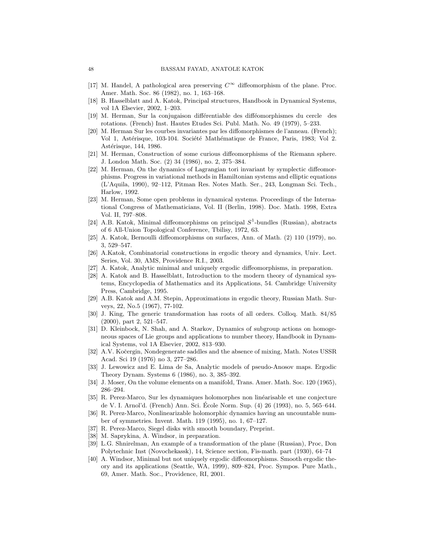- [17] M. Handel, A pathological area preserving  $C^{\infty}$  diffeomorphism of the plane. Proc. Amer. Math. Soc. 86 (1982), no. 1, 163–168.
- [18] B. Hasselblatt and A. Katok, Principal structures, Handbook in Dynamical Systems, vol 1A Elsevier, 2002, 1–203.
- [19] M. Herman, Sur la conjugaison differentiable des diffeomorphismes du cercle des rotations. (French) Inst. Hautes Etudes Sci. Publ. Math. No. 49 (1979), 5–233.
- [20] M. Herman Sur les courbes invariantes par les diffomorphismes de l'anneau. (French); Vol 1, Astérisque, 103-104. Société Mathématique de France, Paris, 1983; Vol 2. Astérisque, 144, 1986.
- [21] M. Herman, Construction of some curious diffeomorphisms of the Riemann sphere. J. London Math. Soc. (2) 34 (1986), no. 2, 375–384.
- [22] M. Herman, On the dynamics of Lagrangian tori invariant by symplectic diffeomorphisms. Progress in variational methods in Hamiltonian systems and elliptic equations (L'Aquila, 1990), 92–112, Pitman Res. Notes Math. Ser., 243, Longman Sci. Tech., Harlow, 1992.
- [23] M. Herman, Some open problems in dynamical systems. Proceedings of the International Congress of Mathematicians, Vol. II (Berlin, 1998). Doc. Math. 1998, Extra Vol. II, 797–808.
- [24] A.B. Katok, Minimal diffeomorphisms on principal  $S^1$ -bundles (Russian), abstracts of 6 All-Union Topological Conference, Tbilisy, 1972, 63.
- [25] A. Katok, Bernoulli diffeomorphisms on surfaces, Ann. of Math. (2) 110 (1979), no. 3, 529–547.
- [26] A.Katok, Combinatorial constructions in ergodic theory and dynamics, Univ. Lect. Series, Vol. 30, AMS, Providence R.I., 2003.
- [27] A. Katok, Analytic minimal and uniquely ergodic diffeomorphisms, in preparation.
- [28] A. Katok and B. Hasselblatt, Introduction to the modern theory of dynamical systems, Encyclopedia of Mathematics and its Applications, 54. Cambridge University Press, Cambridge, 1995.
- [29] A.B. Katok and A.M. Stepin, Approximations in ergodic theory, Russian Math. Surveys, 22, No.5 (1967), 77-102.
- [30] J. King, The generic transformation has roots of all orders. Colloq. Math. 84/85 (2000), part 2, 521–547.
- [31] D. Kleinbock, N. Shah, and A. Starkov, Dynamics of subgroup actions on homogeneous spaces of Lie groups and applications to number theory, Handbook in Dynamical Systems, vol 1A Elsevier, 2002, 813–930.
- [32] A.V. Kočergin, Nondegenerate saddles and the absence of mixing, Math. Notes USSR Acad. Sci 19 (1976) no 3, 277–286.
- [33] J. Lewowicz and E. Lima de Sa, Analytic models of pseudo-Anosov maps. Ergodic Theory Dynam. Systems 6 (1986), no. 3, 385–392.
- [34] J. Moser, On the volume elements on a manifold, Trans. Amer. Math. Soc. 120 (1965), 286–294.
- [35] R. Perez-Marco, Sur les dynamiques holomorphes non linéarisable et une conjecture de V. I. Arnol'd. (French) Ann. Sci. École Norm. Sup. (4) 26 (1993), no. 5, 565–644.
- [36] R. Perez-Marco, Nonlinearizable holomorphic dynamics having an uncountable number of symmetries. Invent. Math. 119 (1995), no. 1, 67–127.
- [37] R. Perez-Marco, Siegel disks with smooth boundary, Preprint.
- [38] M. Saprykina, A. Windsor, in preparation.
- [39] L.G. Shnirelman, An example of a transformation of the plane (Russian), Proc, Don Polytechnic Inst (Novochekassk), 14, Science section, Fis-math. part (1930), 64–74
- [40] A. Windsor, Minimal but not uniquely ergodic diffeomorphisms. Smooth ergodic theory and its applications (Seattle, WA, 1999), 809–824, Proc. Sympos. Pure Math., 69, Amer. Math. Soc., Providence, RI, 2001.